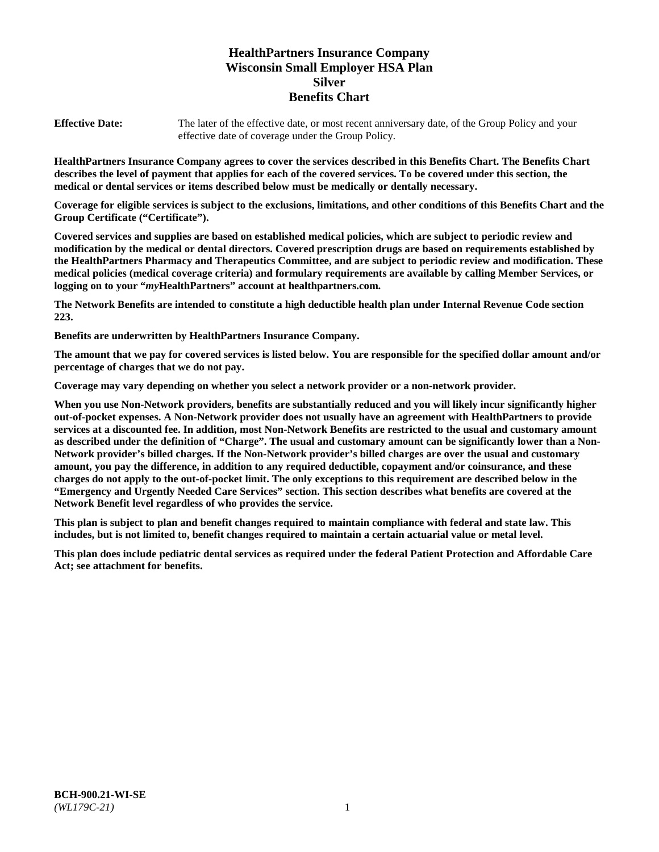# **HealthPartners Insurance Company Wisconsin Small Employer HSA Plan Silver Benefits Chart**

**Effective Date:** The later of the effective date, or most recent anniversary date, of the Group Policy and your effective date of coverage under the Group Policy.

**HealthPartners Insurance Company agrees to cover the services described in this Benefits Chart. The Benefits Chart describes the level of payment that applies for each of the covered services. To be covered under this section, the medical or dental services or items described below must be medically or dentally necessary.**

**Coverage for eligible services is subject to the exclusions, limitations, and other conditions of this Benefits Chart and the Group Certificate ("Certificate").**

**Covered services and supplies are based on established medical policies, which are subject to periodic review and modification by the medical or dental directors. Covered prescription drugs are based on requirements established by the HealthPartners Pharmacy and Therapeutics Committee, and are subject to periodic review and modification. These medical policies (medical coverage criteria) and formulary requirements are available by calling Member Services, or logging on to your "***my***HealthPartners" account at [healthpartners.com.](https://www.healthpartners.com/hp/index.html)**

**The Network Benefits are intended to constitute a high deductible health plan under Internal Revenue Code section 223.**

**Benefits are underwritten by HealthPartners Insurance Company.**

**The amount that we pay for covered services is listed below. You are responsible for the specified dollar amount and/or percentage of charges that we do not pay.**

**Coverage may vary depending on whether you select a network provider or a non-network provider.**

**When you use Non-Network providers, benefits are substantially reduced and you will likely incur significantly higher out-of-pocket expenses. A Non-Network provider does not usually have an agreement with HealthPartners to provide services at a discounted fee. In addition, most Non-Network Benefits are restricted to the usual and customary amount as described under the definition of "Charge". The usual and customary amount can be significantly lower than a Non-Network provider's billed charges. If the Non-Network provider's billed charges are over the usual and customary amount, you pay the difference, in addition to any required deductible, copayment and/or coinsurance, and these charges do not apply to the out-of-pocket limit. The only exceptions to this requirement are described below in the "Emergency and Urgently Needed Care Services" section. This section describes what benefits are covered at the Network Benefit level regardless of who provides the service.**

**This plan is subject to plan and benefit changes required to maintain compliance with federal and state law. This includes, but is not limited to, benefit changes required to maintain a certain actuarial value or metal level.**

**This plan does include pediatric dental services as required under the federal Patient Protection and Affordable Care Act; see attachment for benefits.**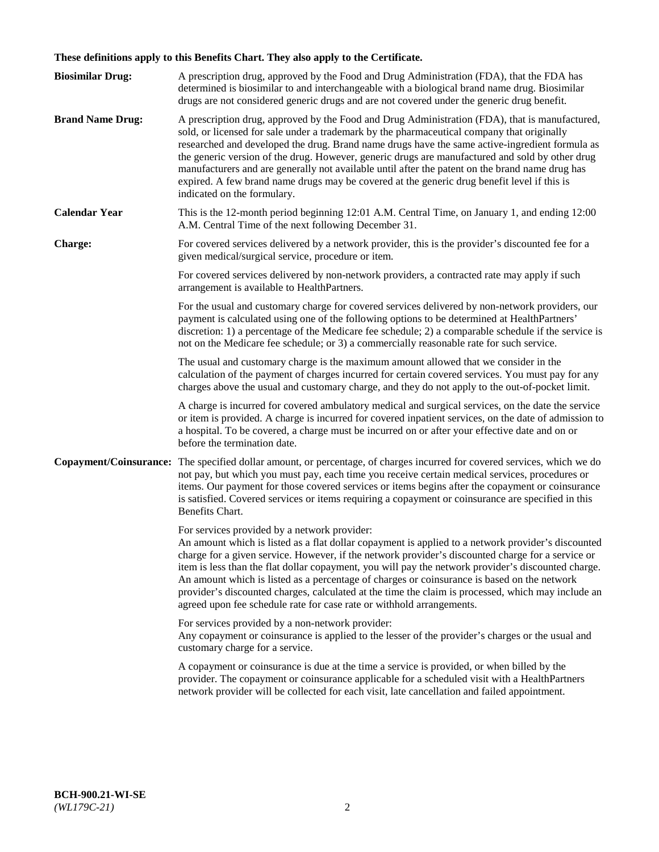# **These definitions apply to this Benefits Chart. They also apply to the Certificate.**

| <b>Biosimilar Drug:</b> | A prescription drug, approved by the Food and Drug Administration (FDA), that the FDA has<br>determined is biosimilar to and interchangeable with a biological brand name drug. Biosimilar<br>drugs are not considered generic drugs and are not covered under the generic drug benefit.                                                                                                                                                                                                                                                                                                                                                     |
|-------------------------|----------------------------------------------------------------------------------------------------------------------------------------------------------------------------------------------------------------------------------------------------------------------------------------------------------------------------------------------------------------------------------------------------------------------------------------------------------------------------------------------------------------------------------------------------------------------------------------------------------------------------------------------|
| <b>Brand Name Drug:</b> | A prescription drug, approved by the Food and Drug Administration (FDA), that is manufactured,<br>sold, or licensed for sale under a trademark by the pharmaceutical company that originally<br>researched and developed the drug. Brand name drugs have the same active-ingredient formula as<br>the generic version of the drug. However, generic drugs are manufactured and sold by other drug<br>manufacturers and are generally not available until after the patent on the brand name drug has<br>expired. A few brand name drugs may be covered at the generic drug benefit level if this is<br>indicated on the formulary.           |
| <b>Calendar Year</b>    | This is the 12-month period beginning 12:01 A.M. Central Time, on January 1, and ending 12:00<br>A.M. Central Time of the next following December 31.                                                                                                                                                                                                                                                                                                                                                                                                                                                                                        |
| <b>Charge:</b>          | For covered services delivered by a network provider, this is the provider's discounted fee for a<br>given medical/surgical service, procedure or item.                                                                                                                                                                                                                                                                                                                                                                                                                                                                                      |
|                         | For covered services delivered by non-network providers, a contracted rate may apply if such<br>arrangement is available to HealthPartners.                                                                                                                                                                                                                                                                                                                                                                                                                                                                                                  |
|                         | For the usual and customary charge for covered services delivered by non-network providers, our<br>payment is calculated using one of the following options to be determined at HealthPartners'<br>discretion: 1) a percentage of the Medicare fee schedule; 2) a comparable schedule if the service is<br>not on the Medicare fee schedule; or 3) a commercially reasonable rate for such service.                                                                                                                                                                                                                                          |
|                         | The usual and customary charge is the maximum amount allowed that we consider in the<br>calculation of the payment of charges incurred for certain covered services. You must pay for any<br>charges above the usual and customary charge, and they do not apply to the out-of-pocket limit.                                                                                                                                                                                                                                                                                                                                                 |
|                         | A charge is incurred for covered ambulatory medical and surgical services, on the date the service<br>or item is provided. A charge is incurred for covered inpatient services, on the date of admission to<br>a hospital. To be covered, a charge must be incurred on or after your effective date and on or<br>before the termination date.                                                                                                                                                                                                                                                                                                |
| Copayment/Coinsurance:  | The specified dollar amount, or percentage, of charges incurred for covered services, which we do<br>not pay, but which you must pay, each time you receive certain medical services, procedures or<br>items. Our payment for those covered services or items begins after the copayment or coinsurance<br>is satisfied. Covered services or items requiring a copayment or coinsurance are specified in this<br>Benefits Chart.                                                                                                                                                                                                             |
|                         | For services provided by a network provider:<br>An amount which is listed as a flat dollar copayment is applied to a network provider's discounted<br>charge for a given service. However, if the network provider's discounted charge for a service or<br>item is less than the flat dollar copayment, you will pay the network provider's discounted charge.<br>An amount which is listed as a percentage of charges or coinsurance is based on the network<br>provider's discounted charges, calculated at the time the claim is processed, which may include an<br>agreed upon fee schedule rate for case rate or withhold arrangements. |
|                         | For services provided by a non-network provider:<br>Any copayment or coinsurance is applied to the lesser of the provider's charges or the usual and<br>customary charge for a service.                                                                                                                                                                                                                                                                                                                                                                                                                                                      |
|                         | A copayment or coinsurance is due at the time a service is provided, or when billed by the<br>provider. The copayment or coinsurance applicable for a scheduled visit with a HealthPartners<br>network provider will be collected for each visit, late cancellation and failed appointment.                                                                                                                                                                                                                                                                                                                                                  |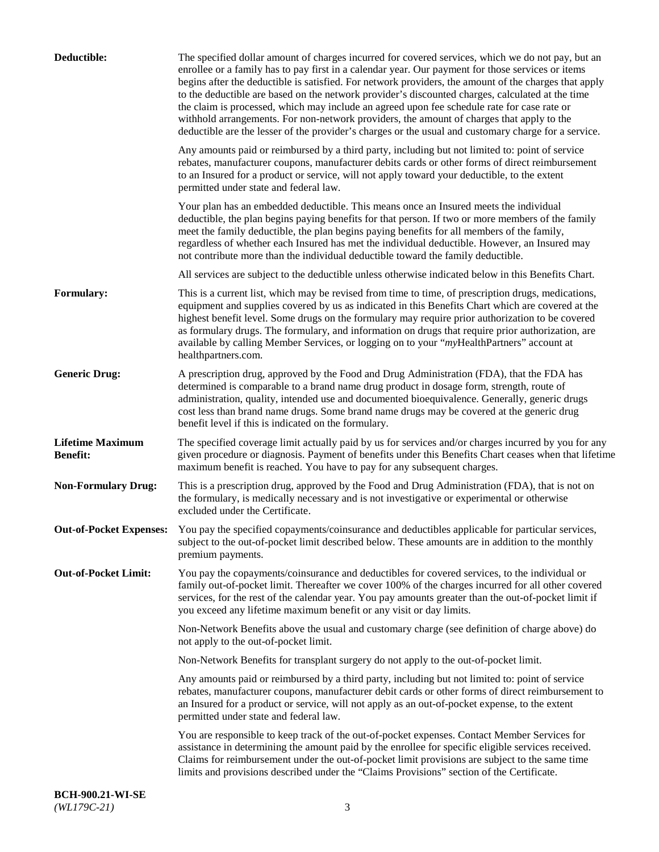| Deductible:                                | The specified dollar amount of charges incurred for covered services, which we do not pay, but an<br>enrollee or a family has to pay first in a calendar year. Our payment for those services or items<br>begins after the deductible is satisfied. For network providers, the amount of the charges that apply<br>to the deductible are based on the network provider's discounted charges, calculated at the time<br>the claim is processed, which may include an agreed upon fee schedule rate for case rate or<br>withhold arrangements. For non-network providers, the amount of charges that apply to the<br>deductible are the lesser of the provider's charges or the usual and customary charge for a service. |
|--------------------------------------------|-------------------------------------------------------------------------------------------------------------------------------------------------------------------------------------------------------------------------------------------------------------------------------------------------------------------------------------------------------------------------------------------------------------------------------------------------------------------------------------------------------------------------------------------------------------------------------------------------------------------------------------------------------------------------------------------------------------------------|
|                                            | Any amounts paid or reimbursed by a third party, including but not limited to: point of service<br>rebates, manufacturer coupons, manufacturer debits cards or other forms of direct reimbursement<br>to an Insured for a product or service, will not apply toward your deductible, to the extent<br>permitted under state and federal law.                                                                                                                                                                                                                                                                                                                                                                            |
|                                            | Your plan has an embedded deductible. This means once an Insured meets the individual<br>deductible, the plan begins paying benefits for that person. If two or more members of the family<br>meet the family deductible, the plan begins paying benefits for all members of the family,<br>regardless of whether each Insured has met the individual deductible. However, an Insured may<br>not contribute more than the individual deductible toward the family deductible.                                                                                                                                                                                                                                           |
|                                            | All services are subject to the deductible unless otherwise indicated below in this Benefits Chart.                                                                                                                                                                                                                                                                                                                                                                                                                                                                                                                                                                                                                     |
| Formulary:                                 | This is a current list, which may be revised from time to time, of prescription drugs, medications,<br>equipment and supplies covered by us as indicated in this Benefits Chart which are covered at the<br>highest benefit level. Some drugs on the formulary may require prior authorization to be covered<br>as formulary drugs. The formulary, and information on drugs that require prior authorization, are<br>available by calling Member Services, or logging on to your "myHealthPartners" account at<br>healthpartners.com.                                                                                                                                                                                   |
| <b>Generic Drug:</b>                       | A prescription drug, approved by the Food and Drug Administration (FDA), that the FDA has<br>determined is comparable to a brand name drug product in dosage form, strength, route of<br>administration, quality, intended use and documented bioequivalence. Generally, generic drugs<br>cost less than brand name drugs. Some brand name drugs may be covered at the generic drug<br>benefit level if this is indicated on the formulary.                                                                                                                                                                                                                                                                             |
| <b>Lifetime Maximum</b><br><b>Benefit:</b> | The specified coverage limit actually paid by us for services and/or charges incurred by you for any<br>given procedure or diagnosis. Payment of benefits under this Benefits Chart ceases when that lifetime<br>maximum benefit is reached. You have to pay for any subsequent charges.                                                                                                                                                                                                                                                                                                                                                                                                                                |
| <b>Non-Formulary Drug:</b>                 | This is a prescription drug, approved by the Food and Drug Administration (FDA), that is not on<br>the formulary, is medically necessary and is not investigative or experimental or otherwise<br>excluded under the Certificate.                                                                                                                                                                                                                                                                                                                                                                                                                                                                                       |
|                                            | Out-of-Pocket Expenses: You pay the specified copayments/coinsurance and deductibles applicable for particular services,<br>subject to the out-of-pocket limit described below. These amounts are in addition to the monthly<br>premium payments.                                                                                                                                                                                                                                                                                                                                                                                                                                                                       |
| <b>Out-of-Pocket Limit:</b>                | You pay the copayments/coinsurance and deductibles for covered services, to the individual or<br>family out-of-pocket limit. Thereafter we cover 100% of the charges incurred for all other covered<br>services, for the rest of the calendar year. You pay amounts greater than the out-of-pocket limit if<br>you exceed any lifetime maximum benefit or any visit or day limits.                                                                                                                                                                                                                                                                                                                                      |
|                                            | Non-Network Benefits above the usual and customary charge (see definition of charge above) do<br>not apply to the out-of-pocket limit.                                                                                                                                                                                                                                                                                                                                                                                                                                                                                                                                                                                  |
|                                            | Non-Network Benefits for transplant surgery do not apply to the out-of-pocket limit.                                                                                                                                                                                                                                                                                                                                                                                                                                                                                                                                                                                                                                    |
|                                            | Any amounts paid or reimbursed by a third party, including but not limited to: point of service<br>rebates, manufacturer coupons, manufacturer debit cards or other forms of direct reimbursement to<br>an Insured for a product or service, will not apply as an out-of-pocket expense, to the extent<br>permitted under state and federal law.                                                                                                                                                                                                                                                                                                                                                                        |
|                                            | You are responsible to keep track of the out-of-pocket expenses. Contact Member Services for<br>assistance in determining the amount paid by the enrollee for specific eligible services received.<br>Claims for reimbursement under the out-of-pocket limit provisions are subject to the same time<br>limits and provisions described under the "Claims Provisions" section of the Certificate.                                                                                                                                                                                                                                                                                                                       |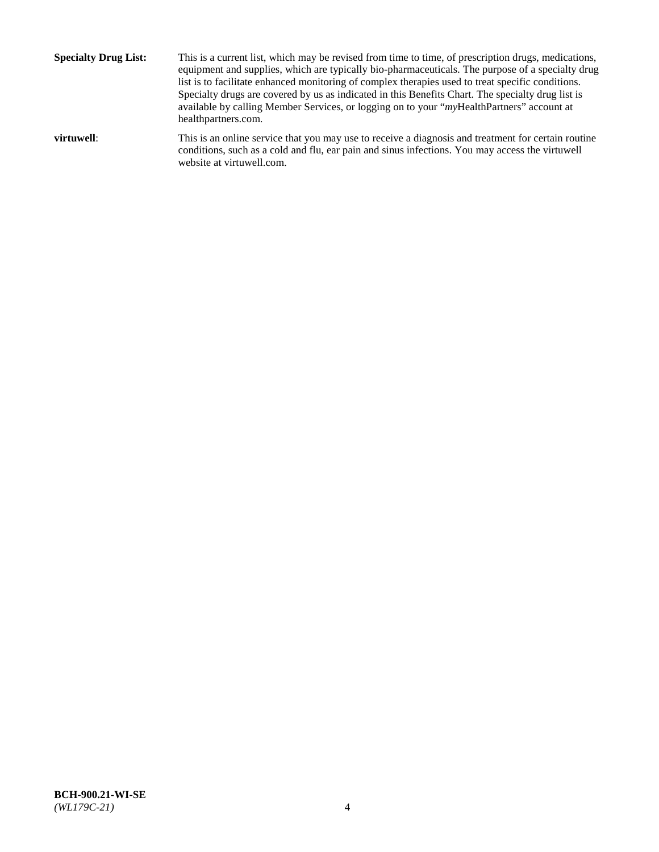**Specialty Drug List:** This is a current list, which may be revised from time to time, of prescription drugs, medications, equipment and supplies, which are typically bio-pharmaceuticals. The purpose of a specialty drug list is to facilitate enhanced monitoring of complex therapies used to treat specific conditions. Specialty drugs are covered by us as indicated in this Benefits Chart. The specialty drug list is available by calling Member Services, or logging on to your "*my*HealthPartners" account at [healthpartners.com.](http://www.healthpartners.com/) **virtuwell:** This is an online service that you may use to receive a diagnosis and treatment for certain routine conditions, such as a cold and flu, ear pain and sinus infections. You may access the virtuwell

website at [virtuwell.com.](http://www.virtuwell.com/)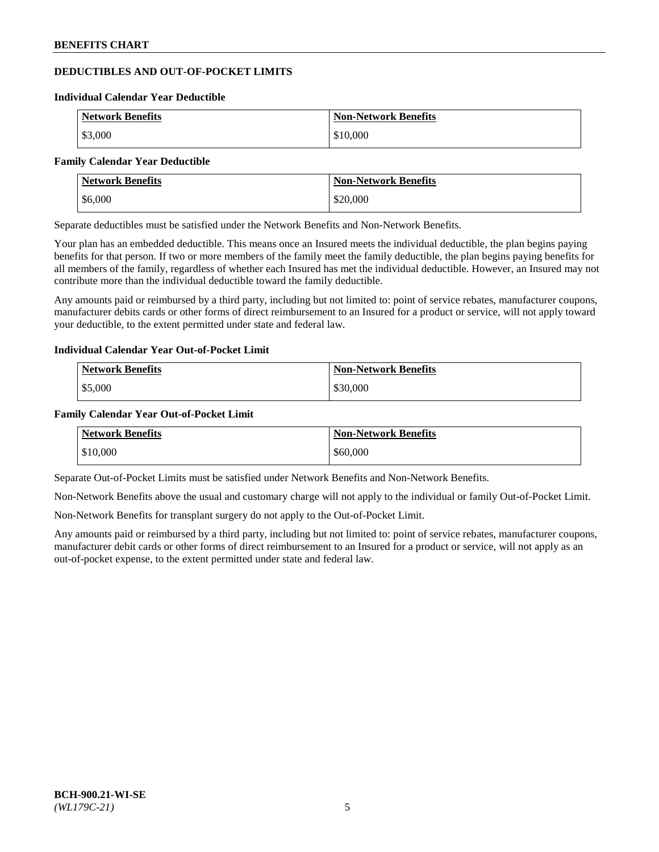# **DEDUCTIBLES AND OUT-OF-POCKET LIMITS**

#### **Individual Calendar Year Deductible**

| <b>Network Benefits</b> | <b>Non-Network Benefits</b> |
|-------------------------|-----------------------------|
| \$3,000                 | \$10,000                    |

#### **Family Calendar Year Deductible**

| <b>Network Benefits</b> | <b>Non-Network Benefits</b> |
|-------------------------|-----------------------------|
| \$6,000                 | \$20,000                    |

Separate deductibles must be satisfied under the Network Benefits and Non-Network Benefits.

Your plan has an embedded deductible. This means once an Insured meets the individual deductible, the plan begins paying benefits for that person. If two or more members of the family meet the family deductible, the plan begins paying benefits for all members of the family, regardless of whether each Insured has met the individual deductible. However, an Insured may not contribute more than the individual deductible toward the family deductible.

Any amounts paid or reimbursed by a third party, including but not limited to: point of service rebates, manufacturer coupons, manufacturer debits cards or other forms of direct reimbursement to an Insured for a product or service, will not apply toward your deductible, to the extent permitted under state and federal law.

### **Individual Calendar Year Out-of-Pocket Limit**

| <b>Network Benefits</b> | <b>Non-Network Benefits</b> |
|-------------------------|-----------------------------|
| \$5,000                 | \$30,000                    |

### **Family Calendar Year Out-of-Pocket Limit**

| <b>Network Benefits</b> | <b>Non-Network Benefits</b> |
|-------------------------|-----------------------------|
| \$10,000                | \$60,000                    |

Separate Out-of-Pocket Limits must be satisfied under Network Benefits and Non-Network Benefits.

Non-Network Benefits above the usual and customary charge will not apply to the individual or family Out-of-Pocket Limit.

Non-Network Benefits for transplant surgery do not apply to the Out-of-Pocket Limit.

Any amounts paid or reimbursed by a third party, including but not limited to: point of service rebates, manufacturer coupons, manufacturer debit cards or other forms of direct reimbursement to an Insured for a product or service, will not apply as an out-of-pocket expense, to the extent permitted under state and federal law.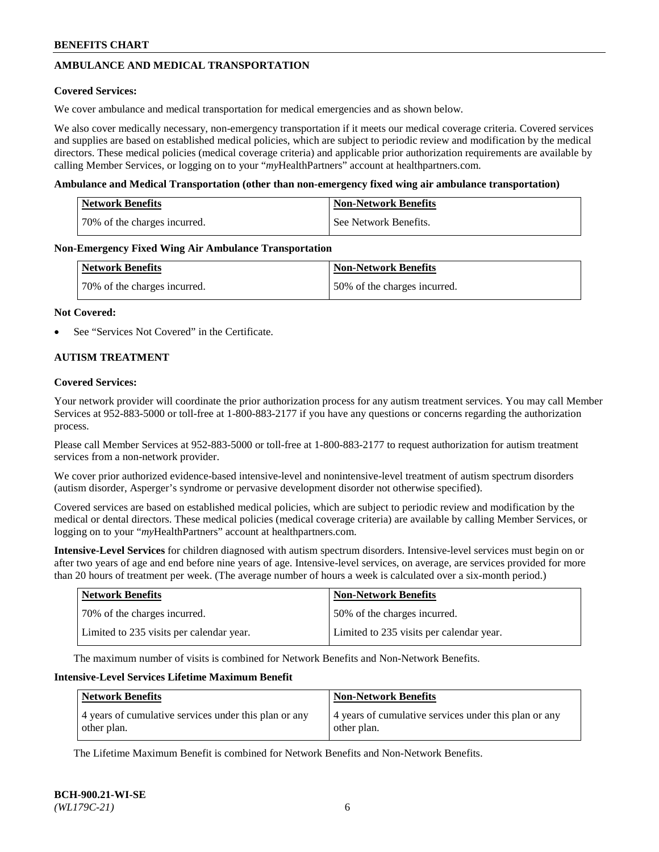## **AMBULANCE AND MEDICAL TRANSPORTATION**

### **Covered Services:**

We cover ambulance and medical transportation for medical emergencies and as shown below.

We also cover medically necessary, non-emergency transportation if it meets our medical coverage criteria. Covered services and supplies are based on established medical policies, which are subject to periodic review and modification by the medical directors. These medical policies (medical coverage criteria) and applicable prior authorization requirements are available by calling Member Services, or logging on to your "*my*HealthPartners" account a[t healthpartners.com.](https://www.healthpartners.com/hp/index.html)

### **Ambulance and Medical Transportation (other than non-emergency fixed wing air ambulance transportation)**

| <b>Network Benefits</b>      | <b>Non-Network Benefits</b> |
|------------------------------|-----------------------------|
| 70% of the charges incurred. | See Network Benefits.       |

### **Non-Emergency Fixed Wing Air Ambulance Transportation**

| <b>Network Benefits</b>      | <b>Non-Network Benefits</b>  |
|------------------------------|------------------------------|
| 70% of the charges incurred. | 50% of the charges incurred. |

### **Not Covered:**

See "Services Not Covered" in the Certificate.

## **AUTISM TREATMENT**

### **Covered Services:**

Your network provider will coordinate the prior authorization process for any autism treatment services. You may call Member Services at 952-883-5000 or toll-free at 1-800-883-2177 if you have any questions or concerns regarding the authorization process.

Please call Member Services at 952-883-5000 or toll-free at 1-800-883-2177 to request authorization for autism treatment services from a non-network provider.

We cover prior authorized evidence-based intensive-level and nonintensive-level treatment of autism spectrum disorders (autism disorder, Asperger's syndrome or pervasive development disorder not otherwise specified).

Covered services are based on established medical policies, which are subject to periodic review and modification by the medical or dental directors. These medical policies (medical coverage criteria) are available by calling Member Services, or logging on to your "*my*HealthPartners" account at [healthpartners.com.](https://www.healthpartners.com/hp/index.html)

**Intensive-Level Services** for children diagnosed with autism spectrum disorders. Intensive-level services must begin on or after two years of age and end before nine years of age. Intensive-level services, on average, are services provided for more than 20 hours of treatment per week. (The average number of hours a week is calculated over a six-month period.)

| Network Benefits                         | <b>Non-Network Benefits</b>              |
|------------------------------------------|------------------------------------------|
| 70% of the charges incurred.             | 50% of the charges incurred.             |
| Limited to 235 visits per calendar year. | Limited to 235 visits per calendar year. |

The maximum number of visits is combined for Network Benefits and Non-Network Benefits.

### **Intensive-Level Services Lifetime Maximum Benefit**

| Network Benefits                                      | <b>Non-Network Benefits</b>                           |
|-------------------------------------------------------|-------------------------------------------------------|
| 4 years of cumulative services under this plan or any | 4 years of cumulative services under this plan or any |
| other plan.                                           | other plan.                                           |

The Lifetime Maximum Benefit is combined for Network Benefits and Non-Network Benefits.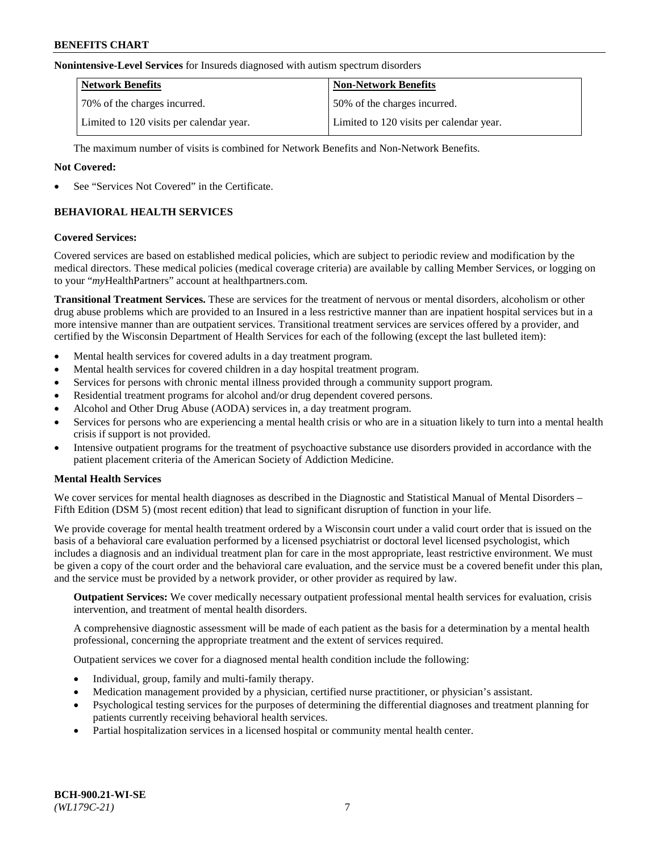#### **Nonintensive-Level Services** for Insureds diagnosed with autism spectrum disorders

| <b>Network Benefits</b>                  | <b>Non-Network Benefits</b>              |
|------------------------------------------|------------------------------------------|
| 70% of the charges incurred.             | 50% of the charges incurred.             |
| Limited to 120 visits per calendar year. | Limited to 120 visits per calendar year. |

The maximum number of visits is combined for Network Benefits and Non-Network Benefits.

### **Not Covered:**

See "Services Not Covered" in the Certificate.

## **BEHAVIORAL HEALTH SERVICES**

### **Covered Services:**

Covered services are based on established medical policies, which are subject to periodic review and modification by the medical directors. These medical policies (medical coverage criteria) are available by calling Member Services, or logging on to your "*my*HealthPartners" account at [healthpartners.com.](https://www.healthpartners.com/hp/index.html)

**Transitional Treatment Services.** These are services for the treatment of nervous or mental disorders, alcoholism or other drug abuse problems which are provided to an Insured in a less restrictive manner than are inpatient hospital services but in a more intensive manner than are outpatient services. Transitional treatment services are services offered by a provider, and certified by the Wisconsin Department of Health Services for each of the following (except the last bulleted item):

- Mental health services for covered adults in a day treatment program.
- Mental health services for covered children in a day hospital treatment program.
- Services for persons with chronic mental illness provided through a community support program.
- Residential treatment programs for alcohol and/or drug dependent covered persons.
- Alcohol and Other Drug Abuse (AODA) services in, a day treatment program.
- Services for persons who are experiencing a mental health crisis or who are in a situation likely to turn into a mental health crisis if support is not provided.
- Intensive outpatient programs for the treatment of psychoactive substance use disorders provided in accordance with the patient placement criteria of the American Society of Addiction Medicine.

## **Mental Health Services**

We cover services for mental health diagnoses as described in the Diagnostic and Statistical Manual of Mental Disorders – Fifth Edition (DSM 5) (most recent edition) that lead to significant disruption of function in your life.

We provide coverage for mental health treatment ordered by a Wisconsin court under a valid court order that is issued on the basis of a behavioral care evaluation performed by a licensed psychiatrist or doctoral level licensed psychologist, which includes a diagnosis and an individual treatment plan for care in the most appropriate, least restrictive environment. We must be given a copy of the court order and the behavioral care evaluation, and the service must be a covered benefit under this plan, and the service must be provided by a network provider, or other provider as required by law.

**Outpatient Services:** We cover medically necessary outpatient professional mental health services for evaluation, crisis intervention, and treatment of mental health disorders.

A comprehensive diagnostic assessment will be made of each patient as the basis for a determination by a mental health professional, concerning the appropriate treatment and the extent of services required.

Outpatient services we cover for a diagnosed mental health condition include the following:

- Individual, group, family and multi-family therapy.
- Medication management provided by a physician, certified nurse practitioner, or physician's assistant.
- Psychological testing services for the purposes of determining the differential diagnoses and treatment planning for patients currently receiving behavioral health services.
- Partial hospitalization services in a licensed hospital or community mental health center.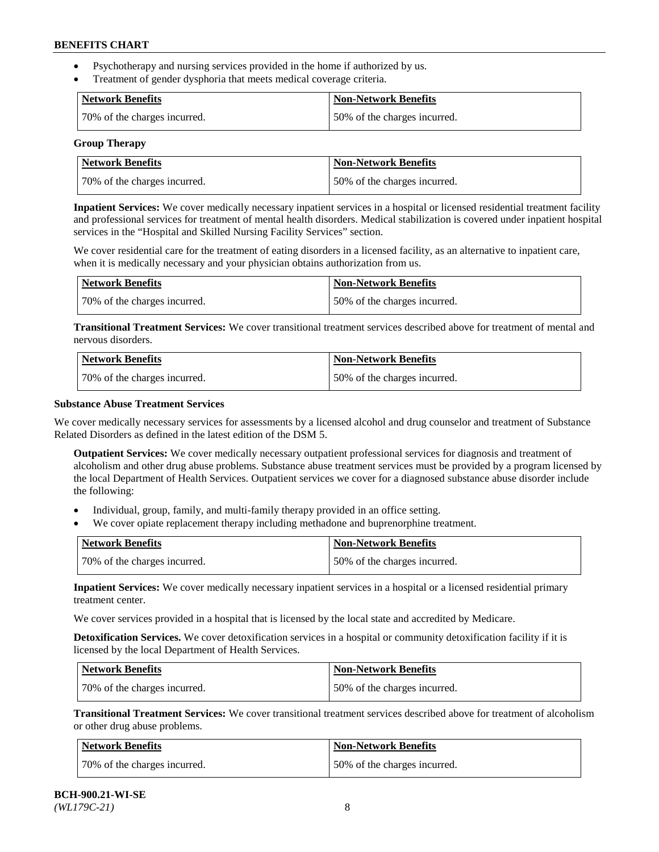- Psychotherapy and nursing services provided in the home if authorized by us.
- Treatment of gender dysphoria that meets medical coverage criteria.

| Network Benefits             | <b>Non-Network Benefits</b>  |
|------------------------------|------------------------------|
| 70% of the charges incurred. | 50% of the charges incurred. |

#### **Group Therapy**

| Network Benefits             | <b>Non-Network Benefits</b>  |
|------------------------------|------------------------------|
| 70% of the charges incurred. | 50% of the charges incurred. |

**Inpatient Services:** We cover medically necessary inpatient services in a hospital or licensed residential treatment facility and professional services for treatment of mental health disorders. Medical stabilization is covered under inpatient hospital services in the "Hospital and Skilled Nursing Facility Services" section.

We cover residential care for the treatment of eating disorders in a licensed facility, as an alternative to inpatient care, when it is medically necessary and your physician obtains authorization from us.

| Network Benefits             | Non-Network Benefits         |
|------------------------------|------------------------------|
| 70% of the charges incurred. | 50% of the charges incurred. |

**Transitional Treatment Services:** We cover transitional treatment services described above for treatment of mental and nervous disorders.

| Network Benefits             | Non-Network Benefits         |
|------------------------------|------------------------------|
| 70% of the charges incurred. | 50% of the charges incurred. |

### **Substance Abuse Treatment Services**

We cover medically necessary services for assessments by a licensed alcohol and drug counselor and treatment of Substance Related Disorders as defined in the latest edition of the DSM 5.

**Outpatient Services:** We cover medically necessary outpatient professional services for diagnosis and treatment of alcoholism and other drug abuse problems. Substance abuse treatment services must be provided by a program licensed by the local Department of Health Services. Outpatient services we cover for a diagnosed substance abuse disorder include the following:

- Individual, group, family, and multi-family therapy provided in an office setting.
- We cover opiate replacement therapy including methadone and buprenorphine treatment.

| <b>Network Benefits</b>      | <b>Non-Network Benefits</b>  |
|------------------------------|------------------------------|
| 70% of the charges incurred. | 50% of the charges incurred. |

**Inpatient Services:** We cover medically necessary inpatient services in a hospital or a licensed residential primary treatment center.

We cover services provided in a hospital that is licensed by the local state and accredited by Medicare.

**Detoxification Services.** We cover detoxification services in a hospital or community detoxification facility if it is licensed by the local Department of Health Services.

| Network Benefits             | <b>Non-Network Benefits</b>  |
|------------------------------|------------------------------|
| 70% of the charges incurred. | 50% of the charges incurred. |

**Transitional Treatment Services:** We cover transitional treatment services described above for treatment of alcoholism or other drug abuse problems.

| Network Benefits             | <b>Non-Network Benefits</b>  |
|------------------------------|------------------------------|
| 70% of the charges incurred. | 50% of the charges incurred. |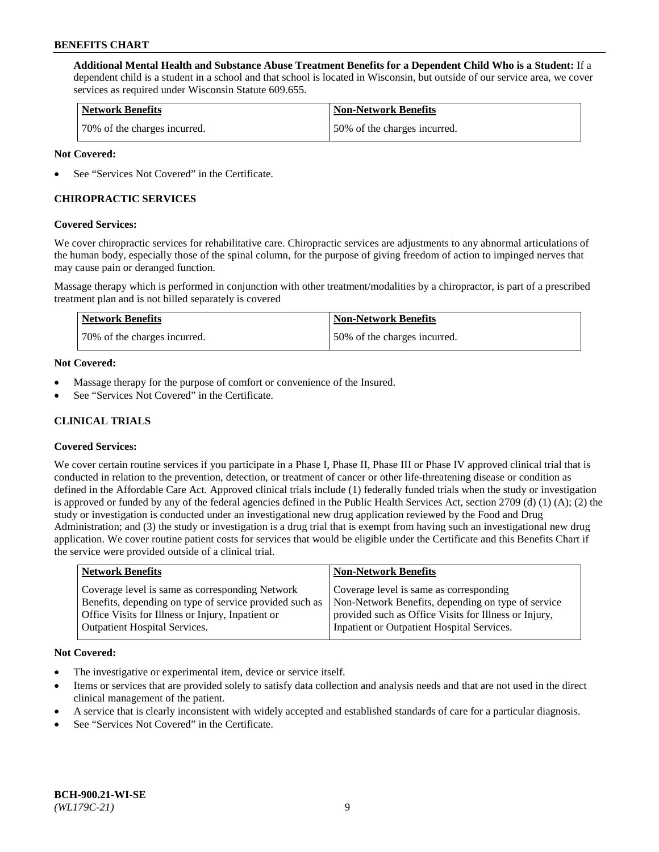**Additional Mental Health and Substance Abuse Treatment Benefits for a Dependent Child Who is a Student:** If a dependent child is a student in a school and that school is located in Wisconsin, but outside of our service area, we cover services as required under Wisconsin Statute 609.655.

| <b>Network Benefits</b>      | <b>Non-Network Benefits</b>  |
|------------------------------|------------------------------|
| 70% of the charges incurred. | 50% of the charges incurred. |

### **Not Covered:**

See "Services Not Covered" in the Certificate.

## **CHIROPRACTIC SERVICES**

### **Covered Services:**

We cover chiropractic services for rehabilitative care. Chiropractic services are adjustments to any abnormal articulations of the human body, especially those of the spinal column, for the purpose of giving freedom of action to impinged nerves that may cause pain or deranged function.

Massage therapy which is performed in conjunction with other treatment/modalities by a chiropractor, is part of a prescribed treatment plan and is not billed separately is covered

| Network Benefits             | <b>Non-Network Benefits</b>  |
|------------------------------|------------------------------|
| 70% of the charges incurred. | 50% of the charges incurred. |

### **Not Covered:**

- Massage therapy for the purpose of comfort or convenience of the Insured.
- See "Services Not Covered" in the Certificate.

## **CLINICAL TRIALS**

## **Covered Services:**

We cover certain routine services if you participate in a Phase I, Phase II, Phase III or Phase IV approved clinical trial that is conducted in relation to the prevention, detection, or treatment of cancer or other life-threatening disease or condition as defined in the Affordable Care Act. Approved clinical trials include (1) federally funded trials when the study or investigation is approved or funded by any of the federal agencies defined in the Public Health Services Act, section 2709 (d) (1) (A); (2) the study or investigation is conducted under an investigational new drug application reviewed by the Food and Drug Administration; and (3) the study or investigation is a drug trial that is exempt from having such an investigational new drug application. We cover routine patient costs for services that would be eligible under the Certificate and this Benefits Chart if the service were provided outside of a clinical trial.

| <b>Network Benefits</b>                                                                                                                                                                                 | <b>Non-Network Benefits</b>                                                                                                                                                                          |
|---------------------------------------------------------------------------------------------------------------------------------------------------------------------------------------------------------|------------------------------------------------------------------------------------------------------------------------------------------------------------------------------------------------------|
| Coverage level is same as corresponding Network<br>Benefits, depending on type of service provided such as<br>Office Visits for Illness or Injury, Inpatient or<br><b>Outpatient Hospital Services.</b> | Coverage level is same as corresponding<br>Non-Network Benefits, depending on type of service<br>provided such as Office Visits for Illness or Injury,<br>Inpatient or Outpatient Hospital Services. |
|                                                                                                                                                                                                         |                                                                                                                                                                                                      |

#### **Not Covered:**

- The investigative or experimental item, device or service itself.
- Items or services that are provided solely to satisfy data collection and analysis needs and that are not used in the direct clinical management of the patient.
- A service that is clearly inconsistent with widely accepted and established standards of care for a particular diagnosis.
- See "Services Not Covered" in the Certificate.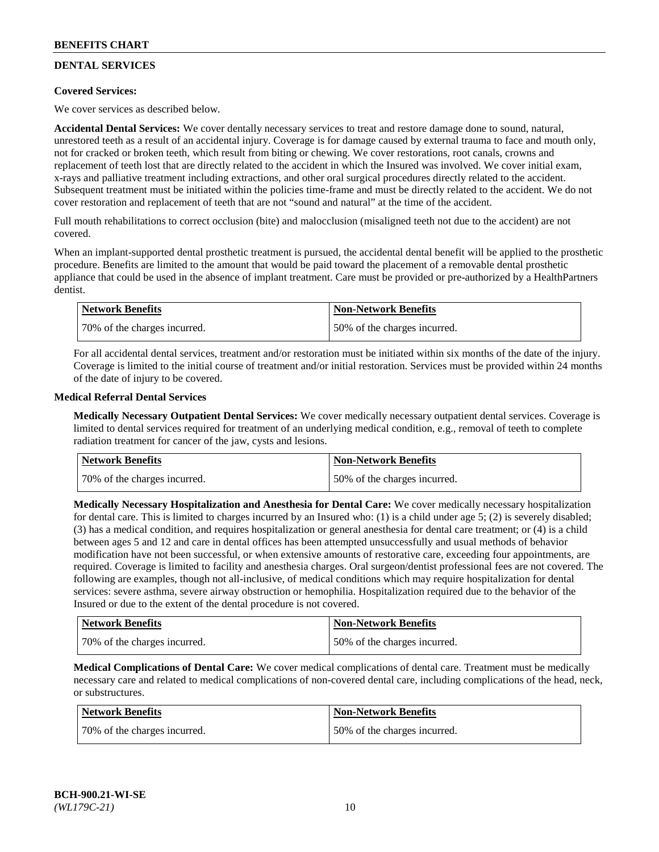## **DENTAL SERVICES**

## **Covered Services:**

We cover services as described below.

**Accidental Dental Services:** We cover dentally necessary services to treat and restore damage done to sound, natural, unrestored teeth as a result of an accidental injury. Coverage is for damage caused by external trauma to face and mouth only, not for cracked or broken teeth, which result from biting or chewing. We cover restorations, root canals, crowns and replacement of teeth lost that are directly related to the accident in which the Insured was involved. We cover initial exam, x-rays and palliative treatment including extractions, and other oral surgical procedures directly related to the accident. Subsequent treatment must be initiated within the policies time-frame and must be directly related to the accident. We do not cover restoration and replacement of teeth that are not "sound and natural" at the time of the accident.

Full mouth rehabilitations to correct occlusion (bite) and malocclusion (misaligned teeth not due to the accident) are not covered.

When an implant-supported dental prosthetic treatment is pursued, the accidental dental benefit will be applied to the prosthetic procedure. Benefits are limited to the amount that would be paid toward the placement of a removable dental prosthetic appliance that could be used in the absence of implant treatment. Care must be provided or pre-authorized by a HealthPartners dentist.

| Network Benefits             | <b>Non-Network Benefits</b>  |
|------------------------------|------------------------------|
| 70% of the charges incurred. | 50% of the charges incurred. |

For all accidental dental services, treatment and/or restoration must be initiated within six months of the date of the injury. Coverage is limited to the initial course of treatment and/or initial restoration. Services must be provided within 24 months of the date of injury to be covered.

### **Medical Referral Dental Services**

**Medically Necessary Outpatient Dental Services:** We cover medically necessary outpatient dental services. Coverage is limited to dental services required for treatment of an underlying medical condition, e.g., removal of teeth to complete radiation treatment for cancer of the jaw, cysts and lesions.

| <b>Network Benefits</b>      | <b>Non-Network Benefits</b>  |
|------------------------------|------------------------------|
| 70% of the charges incurred. | 50% of the charges incurred. |

**Medically Necessary Hospitalization and Anesthesia for Dental Care:** We cover medically necessary hospitalization for dental care. This is limited to charges incurred by an Insured who: (1) is a child under age  $5$ ; (2) is severely disabled; (3) has a medical condition, and requires hospitalization or general anesthesia for dental care treatment; or (4) is a child between ages 5 and 12 and care in dental offices has been attempted unsuccessfully and usual methods of behavior modification have not been successful, or when extensive amounts of restorative care, exceeding four appointments, are required. Coverage is limited to facility and anesthesia charges. Oral surgeon/dentist professional fees are not covered. The following are examples, though not all-inclusive, of medical conditions which may require hospitalization for dental services: severe asthma, severe airway obstruction or hemophilia. Hospitalization required due to the behavior of the Insured or due to the extent of the dental procedure is not covered.

| Network Benefits             | <b>Non-Network Benefits</b>  |
|------------------------------|------------------------------|
| 70% of the charges incurred. | 50% of the charges incurred. |

**Medical Complications of Dental Care:** We cover medical complications of dental care. Treatment must be medically necessary care and related to medical complications of non-covered dental care, including complications of the head, neck, or substructures.

| Network Benefits             | Non-Network Benefits         |
|------------------------------|------------------------------|
| 70% of the charges incurred. | 50% of the charges incurred. |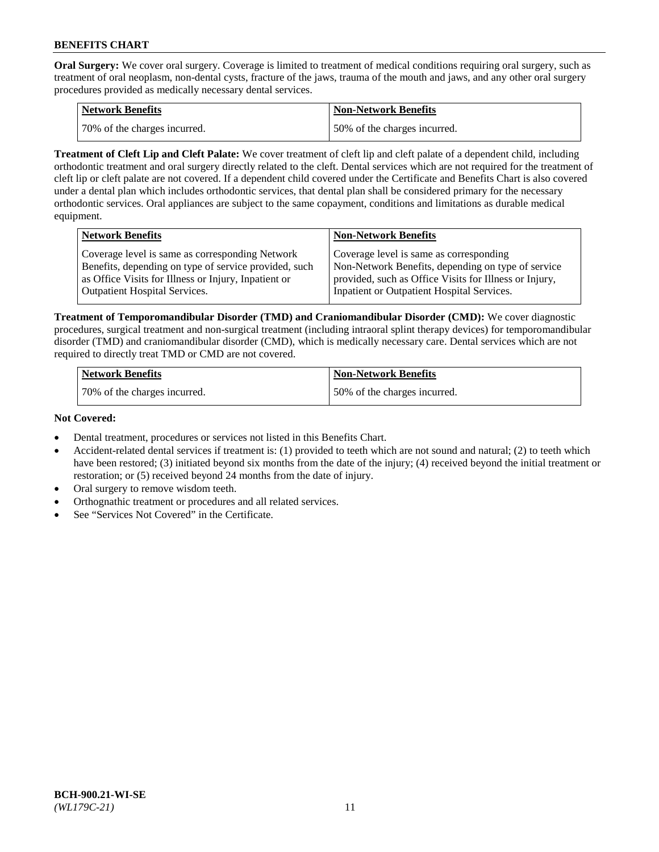**Oral Surgery:** We cover oral surgery. Coverage is limited to treatment of medical conditions requiring oral surgery, such as treatment of oral neoplasm, non-dental cysts, fracture of the jaws, trauma of the mouth and jaws, and any other oral surgery procedures provided as medically necessary dental services.

| <b>Network Benefits</b>       | <b>Non-Network Benefits</b>  |
|-------------------------------|------------------------------|
| 170% of the charges incurred. | 50% of the charges incurred. |

**Treatment of Cleft Lip and Cleft Palate:** We cover treatment of cleft lip and cleft palate of a dependent child, including orthodontic treatment and oral surgery directly related to the cleft. Dental services which are not required for the treatment of cleft lip or cleft palate are not covered. If a dependent child covered under the Certificate and Benefits Chart is also covered under a dental plan which includes orthodontic services, that dental plan shall be considered primary for the necessary orthodontic services. Oral appliances are subject to the same copayment, conditions and limitations as durable medical equipment.

| <b>Network Benefits</b>                               | <b>Non-Network Benefits</b>                            |
|-------------------------------------------------------|--------------------------------------------------------|
| Coverage level is same as corresponding Network       | Coverage level is same as corresponding                |
| Benefits, depending on type of service provided, such | Non-Network Benefits, depending on type of service     |
| as Office Visits for Illness or Injury, Inpatient or  | provided, such as Office Visits for Illness or Injury, |
| Outpatient Hospital Services.                         | Inpatient or Outpatient Hospital Services.             |

**Treatment of Temporomandibular Disorder (TMD) and Craniomandibular Disorder (CMD):** We cover diagnostic procedures, surgical treatment and non-surgical treatment (including intraoral splint therapy devices) for temporomandibular disorder (TMD) and craniomandibular disorder (CMD), which is medically necessary care. Dental services which are not required to directly treat TMD or CMD are not covered.

| <b>Network Benefits</b>      | <b>Non-Network Benefits</b>  |
|------------------------------|------------------------------|
| 70% of the charges incurred. | 50% of the charges incurred. |

### **Not Covered:**

- Dental treatment, procedures or services not listed in this Benefits Chart.
- Accident-related dental services if treatment is: (1) provided to teeth which are not sound and natural; (2) to teeth which have been restored; (3) initiated beyond six months from the date of the injury; (4) received beyond the initial treatment or restoration; or (5) received beyond 24 months from the date of injury.
- Oral surgery to remove wisdom teeth.
- Orthognathic treatment or procedures and all related services.
- See "Services Not Covered" in the Certificate.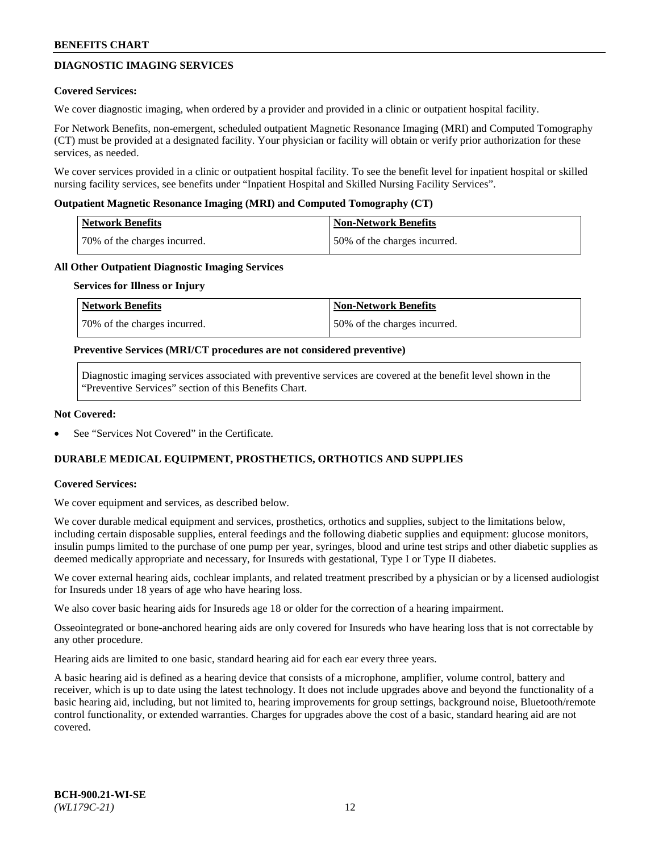## **DIAGNOSTIC IMAGING SERVICES**

### **Covered Services:**

We cover diagnostic imaging, when ordered by a provider and provided in a clinic or outpatient hospital facility.

For Network Benefits, non-emergent, scheduled outpatient Magnetic Resonance Imaging (MRI) and Computed Tomography (CT) must be provided at a designated facility. Your physician or facility will obtain or verify prior authorization for these services, as needed.

We cover services provided in a clinic or outpatient hospital facility. To see the benefit level for inpatient hospital or skilled nursing facility services, see benefits under "Inpatient Hospital and Skilled Nursing Facility Services".

### **Outpatient Magnetic Resonance Imaging (MRI) and Computed Tomography (CT)**

| <b>Network Benefits</b>      | <b>Non-Network Benefits</b>  |
|------------------------------|------------------------------|
| 70% of the charges incurred. | 50% of the charges incurred. |

### **All Other Outpatient Diagnostic Imaging Services**

#### **Services for Illness or Injury**

| Network Benefits             | <b>Non-Network Benefits</b>  |
|------------------------------|------------------------------|
| 70% of the charges incurred. | 50% of the charges incurred. |

### **Preventive Services (MRI/CT procedures are not considered preventive)**

Diagnostic imaging services associated with preventive services are covered at the benefit level shown in the "Preventive Services" section of this Benefits Chart.

### **Not Covered:**

See "Services Not Covered" in the Certificate.

## **DURABLE MEDICAL EQUIPMENT, PROSTHETICS, ORTHOTICS AND SUPPLIES**

#### **Covered Services:**

We cover equipment and services, as described below.

We cover durable medical equipment and services, prosthetics, orthotics and supplies, subject to the limitations below, including certain disposable supplies, enteral feedings and the following diabetic supplies and equipment: glucose monitors, insulin pumps limited to the purchase of one pump per year, syringes, blood and urine test strips and other diabetic supplies as deemed medically appropriate and necessary, for Insureds with gestational, Type I or Type II diabetes.

We cover external hearing aids, cochlear implants, and related treatment prescribed by a physician or by a licensed audiologist for Insureds under 18 years of age who have hearing loss.

We also cover basic hearing aids for Insureds age 18 or older for the correction of a hearing impairment.

Osseointegrated or bone-anchored hearing aids are only covered for Insureds who have hearing loss that is not correctable by any other procedure.

Hearing aids are limited to one basic, standard hearing aid for each ear every three years.

A basic hearing aid is defined as a hearing device that consists of a microphone, amplifier, volume control, battery and receiver, which is up to date using the latest technology. It does not include upgrades above and beyond the functionality of a basic hearing aid, including, but not limited to, hearing improvements for group settings, background noise, Bluetooth/remote control functionality, or extended warranties. Charges for upgrades above the cost of a basic, standard hearing aid are not covered.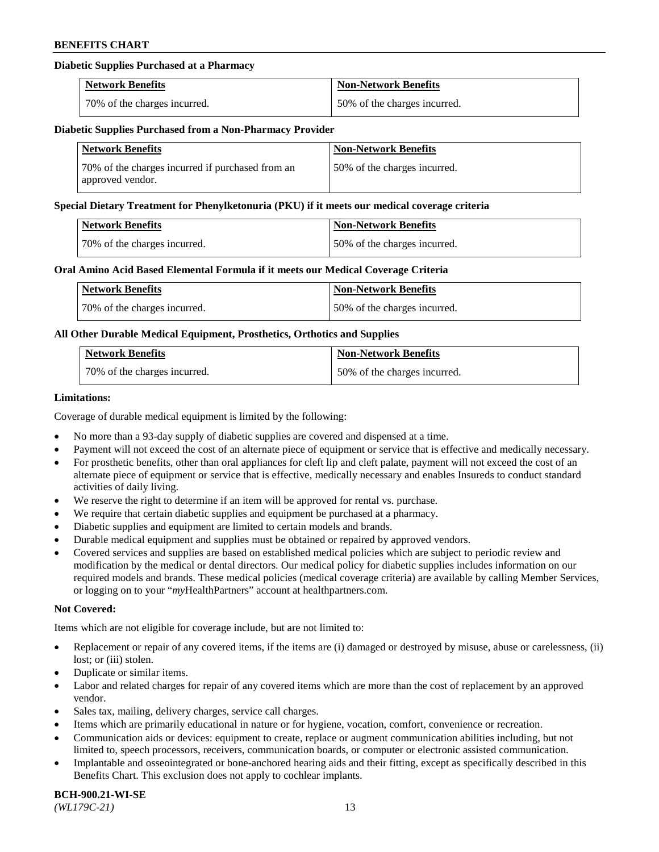## **Diabetic Supplies Purchased at a Pharmacy**

| <b>Network Benefits</b>      | <b>Non-Network Benefits</b>  |
|------------------------------|------------------------------|
| 70% of the charges incurred. | 50% of the charges incurred. |

#### **Diabetic Supplies Purchased from a Non-Pharmacy Provider**

| <b>Network Benefits</b>                                              | <b>Non-Network Benefits</b>  |
|----------------------------------------------------------------------|------------------------------|
| 70% of the charges incurred if purchased from an<br>approved vendor. | 50% of the charges incurred. |

#### **Special Dietary Treatment for Phenylketonuria (PKU) if it meets our medical coverage criteria**

| Network Benefits             | Non-Network Benefits         |
|------------------------------|------------------------------|
| 70% of the charges incurred. | 50% of the charges incurred. |

### **Oral Amino Acid Based Elemental Formula if it meets our Medical Coverage Criteria**

| Network Benefits             | <b>Non-Network Benefits</b>  |
|------------------------------|------------------------------|
| 70% of the charges incurred. | 50% of the charges incurred. |

## **All Other Durable Medical Equipment, Prosthetics, Orthotics and Supplies**

| <b>Network Benefits</b>      | <b>Non-Network Benefits</b>  |
|------------------------------|------------------------------|
| 70% of the charges incurred. | 50% of the charges incurred. |

### **Limitations:**

Coverage of durable medical equipment is limited by the following:

- No more than a 93-day supply of diabetic supplies are covered and dispensed at a time.
- Payment will not exceed the cost of an alternate piece of equipment or service that is effective and medically necessary.
- For prosthetic benefits, other than oral appliances for cleft lip and cleft palate, payment will not exceed the cost of an alternate piece of equipment or service that is effective, medically necessary and enables Insureds to conduct standard activities of daily living.
- We reserve the right to determine if an item will be approved for rental vs. purchase.
- We require that certain diabetic supplies and equipment be purchased at a pharmacy.
- Diabetic supplies and equipment are limited to certain models and brands.
- Durable medical equipment and supplies must be obtained or repaired by approved vendors.
- Covered services and supplies are based on established medical policies which are subject to periodic review and modification by the medical or dental directors. Our medical policy for diabetic supplies includes information on our required models and brands. These medical policies (medical coverage criteria) are available by calling Member Services, or logging on to your "*my*HealthPartners" account a[t healthpartners.com.](https://www.healthpartners.com/hp/index.html)

#### **Not Covered:**

Items which are not eligible for coverage include, but are not limited to:

- Replacement or repair of any covered items, if the items are (i) damaged or destroyed by misuse, abuse or carelessness, (ii) lost; or (iii) stolen.
- Duplicate or similar items.
- Labor and related charges for repair of any covered items which are more than the cost of replacement by an approved vendor.
- Sales tax, mailing, delivery charges, service call charges.
- Items which are primarily educational in nature or for hygiene, vocation, comfort, convenience or recreation.
- Communication aids or devices: equipment to create, replace or augment communication abilities including, but not limited to, speech processors, receivers, communication boards, or computer or electronic assisted communication.
- Implantable and osseointegrated or bone-anchored hearing aids and their fitting, except as specifically described in this Benefits Chart. This exclusion does not apply to cochlear implants.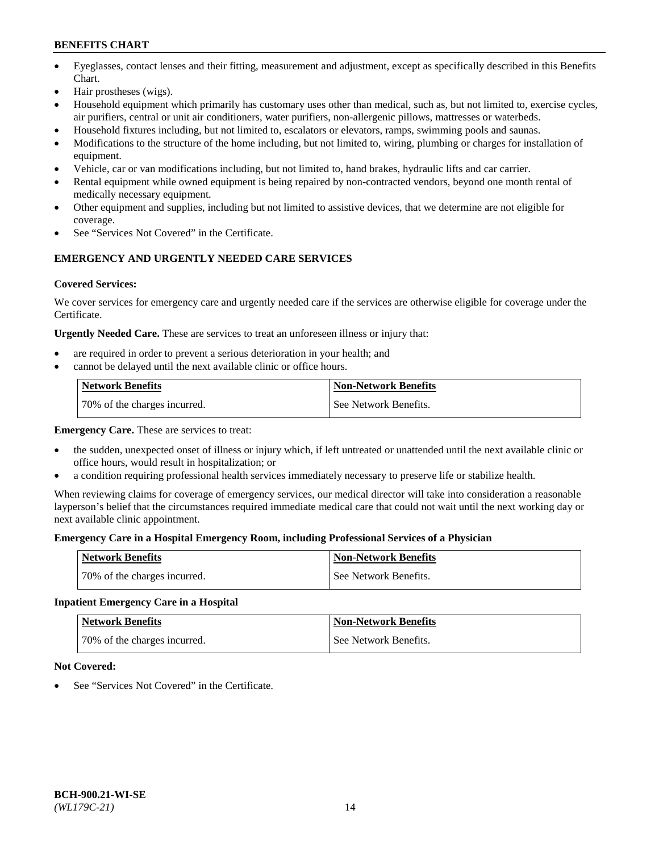- Eyeglasses, contact lenses and their fitting, measurement and adjustment, except as specifically described in this Benefits Chart.
- Hair prostheses (wigs).
- Household equipment which primarily has customary uses other than medical, such as, but not limited to, exercise cycles, air purifiers, central or unit air conditioners, water purifiers, non-allergenic pillows, mattresses or waterbeds.
- Household fixtures including, but not limited to, escalators or elevators, ramps, swimming pools and saunas.
- Modifications to the structure of the home including, but not limited to, wiring, plumbing or charges for installation of equipment.
- Vehicle, car or van modifications including, but not limited to, hand brakes, hydraulic lifts and car carrier.
- Rental equipment while owned equipment is being repaired by non-contracted vendors, beyond one month rental of medically necessary equipment.
- Other equipment and supplies, including but not limited to assistive devices, that we determine are not eligible for coverage.
- See "Services Not Covered" in the Certificate.

## **EMERGENCY AND URGENTLY NEEDED CARE SERVICES**

## **Covered Services:**

We cover services for emergency care and urgently needed care if the services are otherwise eligible for coverage under the Certificate.

**Urgently Needed Care.** These are services to treat an unforeseen illness or injury that:

- are required in order to prevent a serious deterioration in your health; and
- cannot be delayed until the next available clinic or office hours.

| <b>Network Benefits</b>      | <b>Non-Network Benefits</b> |
|------------------------------|-----------------------------|
| 70% of the charges incurred. | See Network Benefits.       |

**Emergency Care.** These are services to treat:

- the sudden, unexpected onset of illness or injury which, if left untreated or unattended until the next available clinic or office hours, would result in hospitalization; or
- a condition requiring professional health services immediately necessary to preserve life or stabilize health.

When reviewing claims for coverage of emergency services, our medical director will take into consideration a reasonable layperson's belief that the circumstances required immediate medical care that could not wait until the next working day or next available clinic appointment.

## **Emergency Care in a Hospital Emergency Room, including Professional Services of a Physician**

| <b>Network Benefits</b>      | <b>Non-Network Benefits</b> |
|------------------------------|-----------------------------|
| 70% of the charges incurred. | See Network Benefits.       |

## **Inpatient Emergency Care in a Hospital**

| <b>Network Benefits</b>      | <b>Non-Network Benefits</b> |
|------------------------------|-----------------------------|
| 70% of the charges incurred. | See Network Benefits.       |

## **Not Covered:**

See "Services Not Covered" in the Certificate.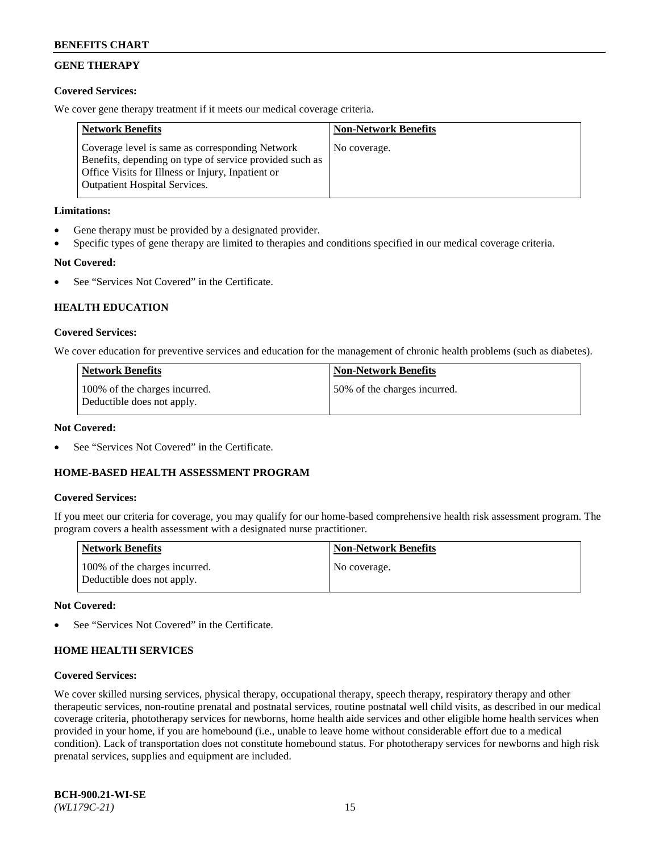## **GENE THERAPY**

## **Covered Services:**

We cover gene therapy treatment if it meets our medical coverage criteria.

| <b>Network Benefits</b>                                                                                                                                                                                 | <b>Non-Network Benefits</b> |
|---------------------------------------------------------------------------------------------------------------------------------------------------------------------------------------------------------|-----------------------------|
| Coverage level is same as corresponding Network<br>Benefits, depending on type of service provided such as<br>Office Visits for Illness or Injury, Inpatient or<br><b>Outpatient Hospital Services.</b> | No coverage.                |

## **Limitations:**

- Gene therapy must be provided by a designated provider.
- Specific types of gene therapy are limited to therapies and conditions specified in our medical coverage criteria.

## **Not Covered:**

See "Services Not Covered" in the Certificate.

## **HEALTH EDUCATION**

### **Covered Services:**

We cover education for preventive services and education for the management of chronic health problems (such as diabetes).

| <b>Network Benefits</b>                                     | <b>Non-Network Benefits</b>  |
|-------------------------------------------------------------|------------------------------|
| 100% of the charges incurred.<br>Deductible does not apply. | 50% of the charges incurred. |

#### **Not Covered:**

See "Services Not Covered" in the Certificate.

## **HOME-BASED HEALTH ASSESSMENT PROGRAM**

#### **Covered Services:**

If you meet our criteria for coverage, you may qualify for our home-based comprehensive health risk assessment program. The program covers a health assessment with a designated nurse practitioner.

| Network Benefits                                            | <b>Non-Network Benefits</b> |
|-------------------------------------------------------------|-----------------------------|
| 100% of the charges incurred.<br>Deductible does not apply. | No coverage.                |

#### **Not Covered:**

See "Services Not Covered" in the Certificate.

## **HOME HEALTH SERVICES**

#### **Covered Services:**

We cover skilled nursing services, physical therapy, occupational therapy, speech therapy, respiratory therapy and other therapeutic services, non-routine prenatal and postnatal services, routine postnatal well child visits, as described in our medical coverage criteria, phototherapy services for newborns, home health aide services and other eligible home health services when provided in your home, if you are homebound (i.e., unable to leave home without considerable effort due to a medical condition). Lack of transportation does not constitute homebound status. For phototherapy services for newborns and high risk prenatal services, supplies and equipment are included.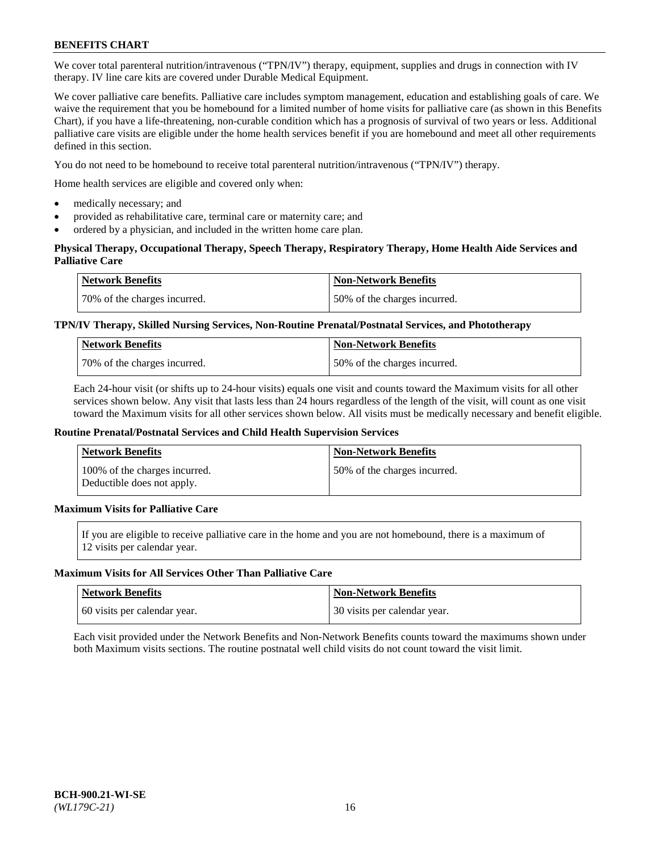We cover total parenteral nutrition/intravenous ("TPN/IV") therapy, equipment, supplies and drugs in connection with IV therapy. IV line care kits are covered under Durable Medical Equipment.

We cover palliative care benefits. Palliative care includes symptom management, education and establishing goals of care. We waive the requirement that you be homebound for a limited number of home visits for palliative care (as shown in this Benefits Chart), if you have a life-threatening, non-curable condition which has a prognosis of survival of two years or less. Additional palliative care visits are eligible under the home health services benefit if you are homebound and meet all other requirements defined in this section.

You do not need to be homebound to receive total parenteral nutrition/intravenous ("TPN/IV") therapy.

Home health services are eligible and covered only when:

- medically necessary; and
- provided as rehabilitative care, terminal care or maternity care; and
- ordered by a physician, and included in the written home care plan.

## **Physical Therapy, Occupational Therapy, Speech Therapy, Respiratory Therapy, Home Health Aide Services and Palliative Care**

| Network Benefits             | <b>Non-Network Benefits</b>  |
|------------------------------|------------------------------|
| 70% of the charges incurred. | 50% of the charges incurred. |

## **TPN/IV Therapy, Skilled Nursing Services, Non-Routine Prenatal/Postnatal Services, and Phototherapy**

| <b>Network Benefits</b>       | <b>Non-Network Benefits</b>  |
|-------------------------------|------------------------------|
| 170% of the charges incurred. | 50% of the charges incurred. |

Each 24-hour visit (or shifts up to 24-hour visits) equals one visit and counts toward the Maximum visits for all other services shown below. Any visit that lasts less than 24 hours regardless of the length of the visit, will count as one visit toward the Maximum visits for all other services shown below. All visits must be medically necessary and benefit eligible.

#### **Routine Prenatal/Postnatal Services and Child Health Supervision Services**

| <b>Network Benefits</b>                                     | <b>Non-Network Benefits</b>  |
|-------------------------------------------------------------|------------------------------|
| 100% of the charges incurred.<br>Deductible does not apply. | 50% of the charges incurred. |

## **Maximum Visits for Palliative Care**

If you are eligible to receive palliative care in the home and you are not homebound, there is a maximum of 12 visits per calendar year.

#### **Maximum Visits for All Services Other Than Palliative Care**

| Network Benefits             | <b>Non-Network Benefits</b>    |
|------------------------------|--------------------------------|
| 60 visits per calendar year. | 1 30 visits per calendar year. |

Each visit provided under the Network Benefits and Non-Network Benefits counts toward the maximums shown under both Maximum visits sections. The routine postnatal well child visits do not count toward the visit limit.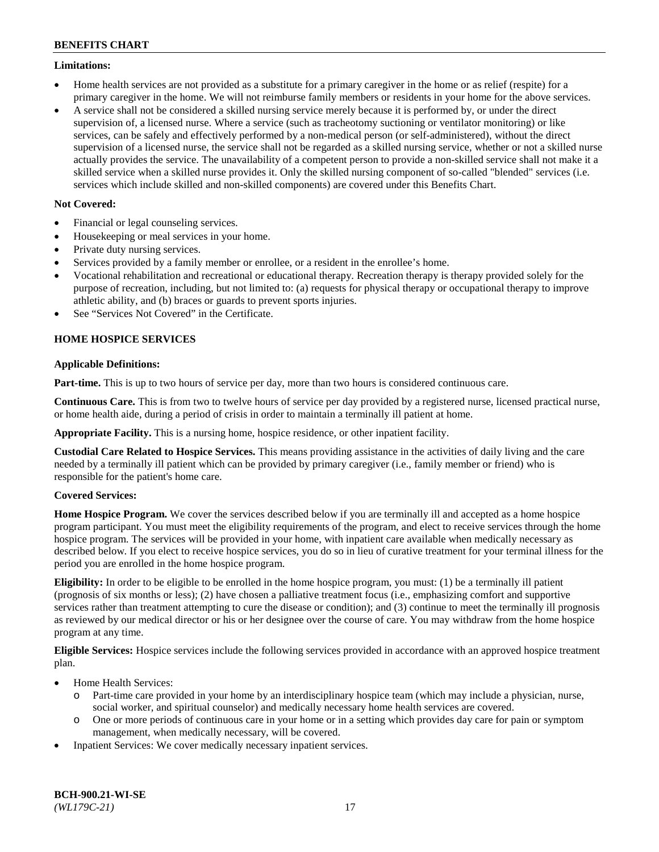### **Limitations:**

- Home health services are not provided as a substitute for a primary caregiver in the home or as relief (respite) for a primary caregiver in the home. We will not reimburse family members or residents in your home for the above services.
- A service shall not be considered a skilled nursing service merely because it is performed by, or under the direct supervision of, a licensed nurse. Where a service (such as tracheotomy suctioning or ventilator monitoring) or like services, can be safely and effectively performed by a non-medical person (or self-administered), without the direct supervision of a licensed nurse, the service shall not be regarded as a skilled nursing service, whether or not a skilled nurse actually provides the service. The unavailability of a competent person to provide a non-skilled service shall not make it a skilled service when a skilled nurse provides it. Only the skilled nursing component of so-called "blended" services (i.e. services which include skilled and non-skilled components) are covered under this Benefits Chart.

## **Not Covered:**

- Financial or legal counseling services.
- Housekeeping or meal services in your home.
- Private duty nursing services.
- Services provided by a family member or enrollee, or a resident in the enrollee's home.
- Vocational rehabilitation and recreational or educational therapy. Recreation therapy is therapy provided solely for the purpose of recreation, including, but not limited to: (a) requests for physical therapy or occupational therapy to improve athletic ability, and (b) braces or guards to prevent sports injuries.
- See "Services Not Covered" in the Certificate.

## **HOME HOSPICE SERVICES**

## **Applicable Definitions:**

**Part-time.** This is up to two hours of service per day, more than two hours is considered continuous care.

**Continuous Care.** This is from two to twelve hours of service per day provided by a registered nurse, licensed practical nurse, or home health aide, during a period of crisis in order to maintain a terminally ill patient at home.

**Appropriate Facility.** This is a nursing home, hospice residence, or other inpatient facility.

**Custodial Care Related to Hospice Services.** This means providing assistance in the activities of daily living and the care needed by a terminally ill patient which can be provided by primary caregiver (i.e., family member or friend) who is responsible for the patient's home care.

## **Covered Services:**

**Home Hospice Program.** We cover the services described below if you are terminally ill and accepted as a home hospice program participant. You must meet the eligibility requirements of the program, and elect to receive services through the home hospice program. The services will be provided in your home, with inpatient care available when medically necessary as described below. If you elect to receive hospice services, you do so in lieu of curative treatment for your terminal illness for the period you are enrolled in the home hospice program.

**Eligibility:** In order to be eligible to be enrolled in the home hospice program, you must: (1) be a terminally ill patient (prognosis of six months or less); (2) have chosen a palliative treatment focus (i.e., emphasizing comfort and supportive services rather than treatment attempting to cure the disease or condition); and (3) continue to meet the terminally ill prognosis as reviewed by our medical director or his or her designee over the course of care. You may withdraw from the home hospice program at any time.

**Eligible Services:** Hospice services include the following services provided in accordance with an approved hospice treatment plan.

- Home Health Services:
	- o Part-time care provided in your home by an interdisciplinary hospice team (which may include a physician, nurse, social worker, and spiritual counselor) and medically necessary home health services are covered.
	- o One or more periods of continuous care in your home or in a setting which provides day care for pain or symptom management, when medically necessary, will be covered.
- Inpatient Services: We cover medically necessary inpatient services.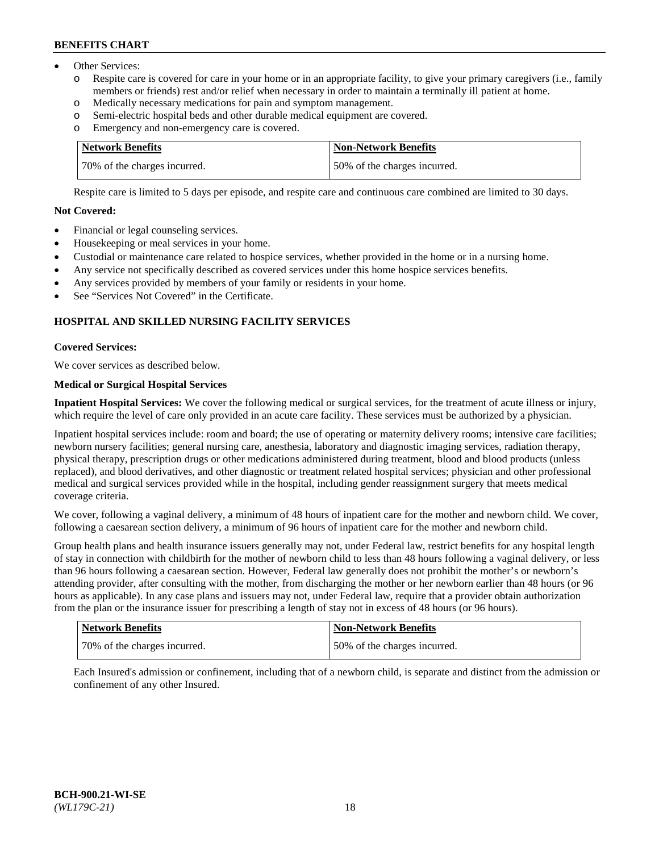- Other Services:
	- Respite care is covered for care in your home or in an appropriate facility, to give your primary caregivers (i.e., family members or friends) rest and/or relief when necessary in order to maintain a terminally ill patient at home.
	- o Medically necessary medications for pain and symptom management.
	- o Semi-electric hospital beds and other durable medical equipment are covered.
	- Emergency and non-emergency care is covered.

| Network Benefits             | Non-Network Benefits         |
|------------------------------|------------------------------|
| 70% of the charges incurred. | 50% of the charges incurred. |

Respite care is limited to 5 days per episode, and respite care and continuous care combined are limited to 30 days.

## **Not Covered:**

- Financial or legal counseling services.
- Housekeeping or meal services in your home.
- Custodial or maintenance care related to hospice services, whether provided in the home or in a nursing home.
- Any service not specifically described as covered services under this home hospice services benefits.
- Any services provided by members of your family or residents in your home.
- See "Services Not Covered" in the Certificate.

## **HOSPITAL AND SKILLED NURSING FACILITY SERVICES**

## **Covered Services:**

We cover services as described below.

## **Medical or Surgical Hospital Services**

**Inpatient Hospital Services:** We cover the following medical or surgical services, for the treatment of acute illness or injury, which require the level of care only provided in an acute care facility. These services must be authorized by a physician.

Inpatient hospital services include: room and board; the use of operating or maternity delivery rooms; intensive care facilities; newborn nursery facilities; general nursing care, anesthesia, laboratory and diagnostic imaging services, radiation therapy, physical therapy, prescription drugs or other medications administered during treatment, blood and blood products (unless replaced), and blood derivatives, and other diagnostic or treatment related hospital services; physician and other professional medical and surgical services provided while in the hospital, including gender reassignment surgery that meets medical coverage criteria.

We cover, following a vaginal delivery, a minimum of 48 hours of inpatient care for the mother and newborn child. We cover, following a caesarean section delivery, a minimum of 96 hours of inpatient care for the mother and newborn child.

Group health plans and health insurance issuers generally may not, under Federal law, restrict benefits for any hospital length of stay in connection with childbirth for the mother of newborn child to less than 48 hours following a vaginal delivery, or less than 96 hours following a caesarean section. However, Federal law generally does not prohibit the mother's or newborn's attending provider, after consulting with the mother, from discharging the mother or her newborn earlier than 48 hours (or 96 hours as applicable). In any case plans and issuers may not, under Federal law, require that a provider obtain authorization from the plan or the insurance issuer for prescribing a length of stay not in excess of 48 hours (or 96 hours).

| <b>Network Benefits</b>      | <b>Non-Network Benefits</b>  |
|------------------------------|------------------------------|
| 70% of the charges incurred. | 50% of the charges incurred. |

Each Insured's admission or confinement, including that of a newborn child, is separate and distinct from the admission or confinement of any other Insured.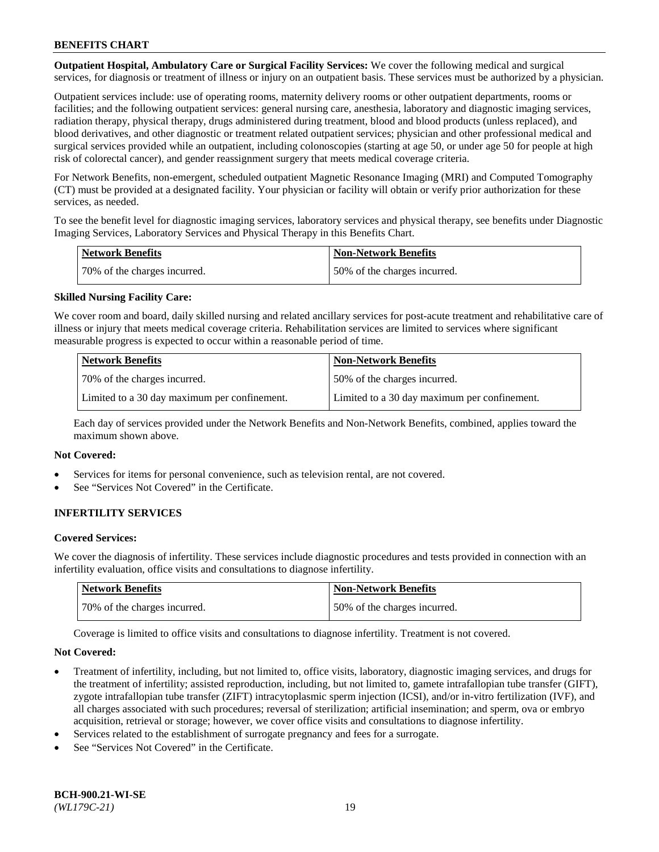**Outpatient Hospital, Ambulatory Care or Surgical Facility Services:** We cover the following medical and surgical services, for diagnosis or treatment of illness or injury on an outpatient basis. These services must be authorized by a physician.

Outpatient services include: use of operating rooms, maternity delivery rooms or other outpatient departments, rooms or facilities; and the following outpatient services: general nursing care, anesthesia, laboratory and diagnostic imaging services, radiation therapy, physical therapy, drugs administered during treatment, blood and blood products (unless replaced), and blood derivatives, and other diagnostic or treatment related outpatient services; physician and other professional medical and surgical services provided while an outpatient, including colonoscopies (starting at age 50, or under age 50 for people at high risk of colorectal cancer), and gender reassignment surgery that meets medical coverage criteria.

For Network Benefits, non-emergent, scheduled outpatient Magnetic Resonance Imaging (MRI) and Computed Tomography (CT) must be provided at a designated facility. Your physician or facility will obtain or verify prior authorization for these services, as needed.

To see the benefit level for diagnostic imaging services, laboratory services and physical therapy, see benefits under Diagnostic Imaging Services, Laboratory Services and Physical Therapy in this Benefits Chart.

| <b>Network Benefits</b>      | <b>Non-Network Benefits</b>  |
|------------------------------|------------------------------|
| 70% of the charges incurred. | 50% of the charges incurred. |

## **Skilled Nursing Facility Care:**

We cover room and board, daily skilled nursing and related ancillary services for post-acute treatment and rehabilitative care of illness or injury that meets medical coverage criteria. Rehabilitation services are limited to services where significant measurable progress is expected to occur within a reasonable period of time.

| <b>Network Benefits</b>                      | <b>Non-Network Benefits</b>                  |
|----------------------------------------------|----------------------------------------------|
| 70\% of the charges incurred.                | 150% of the charges incurred.                |
| Limited to a 30 day maximum per confinement. | Limited to a 30 day maximum per confinement. |

Each day of services provided under the Network Benefits and Non-Network Benefits, combined, applies toward the maximum shown above.

#### **Not Covered:**

- Services for items for personal convenience, such as television rental, are not covered.
- See "Services Not Covered" in the Certificate.

## **INFERTILITY SERVICES**

#### **Covered Services:**

We cover the diagnosis of infertility. These services include diagnostic procedures and tests provided in connection with an infertility evaluation, office visits and consultations to diagnose infertility.

| <b>Network Benefits</b>      | <b>Non-Network Benefits</b>  |
|------------------------------|------------------------------|
| 70% of the charges incurred. | 50% of the charges incurred. |

Coverage is limited to office visits and consultations to diagnose infertility. Treatment is not covered.

#### **Not Covered:**

- Treatment of infertility, including, but not limited to, office visits, laboratory, diagnostic imaging services, and drugs for the treatment of infertility; assisted reproduction, including, but not limited to, gamete intrafallopian tube transfer (GIFT), zygote intrafallopian tube transfer (ZIFT) intracytoplasmic sperm injection (ICSI), and/or in-vitro fertilization (IVF), and all charges associated with such procedures; reversal of sterilization; artificial insemination; and sperm, ova or embryo acquisition, retrieval or storage; however, we cover office visits and consultations to diagnose infertility.
- Services related to the establishment of surrogate pregnancy and fees for a surrogate.
- See "Services Not Covered" in the Certificate.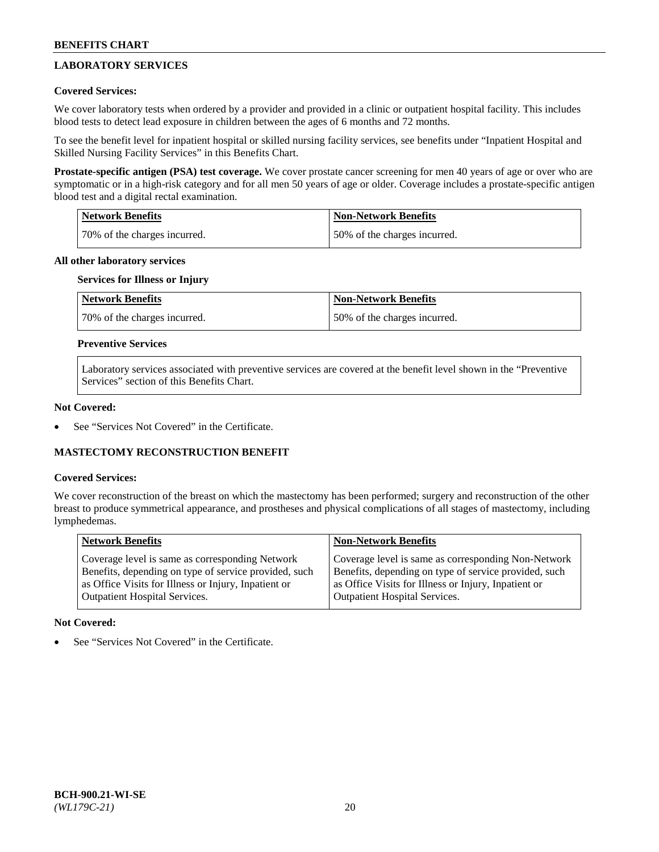## **LABORATORY SERVICES**

## **Covered Services:**

We cover laboratory tests when ordered by a provider and provided in a clinic or outpatient hospital facility. This includes blood tests to detect lead exposure in children between the ages of 6 months and 72 months.

To see the benefit level for inpatient hospital or skilled nursing facility services, see benefits under "Inpatient Hospital and Skilled Nursing Facility Services" in this Benefits Chart.

**Prostate-specific antigen (PSA) test coverage.** We cover prostate cancer screening for men 40 years of age or over who are symptomatic or in a high-risk category and for all men 50 years of age or older. Coverage includes a prostate-specific antigen blood test and a digital rectal examination.

| Network Benefits             | <b>Non-Network Benefits</b>  |
|------------------------------|------------------------------|
| 70% of the charges incurred. | 50% of the charges incurred. |

### **All other laboratory services**

## **Services for Illness or Injury**

| <b>Network Benefits</b>      | <b>Non-Network Benefits</b>  |
|------------------------------|------------------------------|
| 70% of the charges incurred. | 50% of the charges incurred. |

### **Preventive Services**

Laboratory services associated with preventive services are covered at the benefit level shown in the "Preventive Services" section of this Benefits Chart.

### **Not Covered:**

See "Services Not Covered" in the Certificate.

## **MASTECTOMY RECONSTRUCTION BENEFIT**

#### **Covered Services:**

We cover reconstruction of the breast on which the mastectomy has been performed; surgery and reconstruction of the other breast to produce symmetrical appearance, and prostheses and physical complications of all stages of mastectomy, including lymphedemas.

| <b>Network Benefits</b>                               | <b>Non-Network Benefits</b>                           |
|-------------------------------------------------------|-------------------------------------------------------|
| Coverage level is same as corresponding Network       | Coverage level is same as corresponding Non-Network   |
| Benefits, depending on type of service provided, such | Benefits, depending on type of service provided, such |
| as Office Visits for Illness or Injury, Inpatient or  | as Office Visits for Illness or Injury, Inpatient or  |
| Outpatient Hospital Services.                         | <b>Outpatient Hospital Services.</b>                  |

#### **Not Covered:**

See "Services Not Covered" in the Certificate.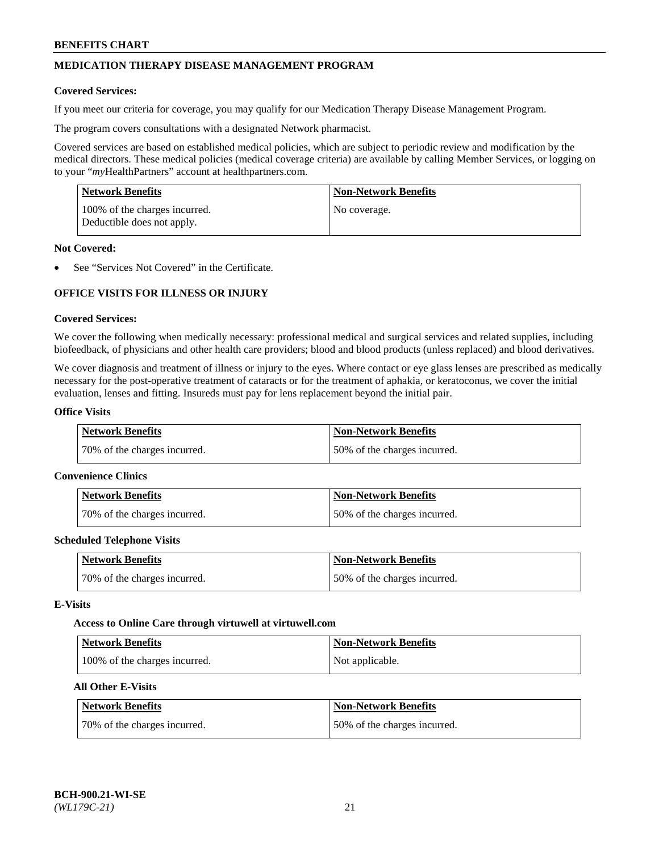## **MEDICATION THERAPY DISEASE MANAGEMENT PROGRAM**

### **Covered Services:**

If you meet our criteria for coverage, you may qualify for our Medication Therapy Disease Management Program.

The program covers consultations with a designated Network pharmacist.

Covered services are based on established medical policies, which are subject to periodic review and modification by the medical directors. These medical policies (medical coverage criteria) are available by calling Member Services, or logging on to your "*my*HealthPartners" account at [healthpartners.com.](http://www.healthpartners.com/)

| Network Benefits                                            | <b>Non-Network Benefits</b> |
|-------------------------------------------------------------|-----------------------------|
| 100% of the charges incurred.<br>Deductible does not apply. | No coverage.                |

### **Not Covered:**

See "Services Not Covered" in the Certificate.

## **OFFICE VISITS FOR ILLNESS OR INJURY**

### **Covered Services:**

We cover the following when medically necessary: professional medical and surgical services and related supplies, including biofeedback, of physicians and other health care providers; blood and blood products (unless replaced) and blood derivatives.

We cover diagnosis and treatment of illness or injury to the eyes. Where contact or eye glass lenses are prescribed as medically necessary for the post-operative treatment of cataracts or for the treatment of aphakia, or keratoconus, we cover the initial evaluation, lenses and fitting. Insureds must pay for lens replacement beyond the initial pair.

### **Office Visits**

| <b>Network Benefits</b>      | <b>Non-Network Benefits</b>  |
|------------------------------|------------------------------|
| 70% of the charges incurred. | 50% of the charges incurred. |

#### **Convenience Clinics**

| Network Benefits             | <b>Non-Network Benefits</b>  |
|------------------------------|------------------------------|
| 70% of the charges incurred. | 50% of the charges incurred. |

#### **Scheduled Telephone Visits**

| <b>Network Benefits</b>      | <b>Non-Network Benefits</b>  |
|------------------------------|------------------------------|
| 70% of the charges incurred. | 50% of the charges incurred. |

### **E-Visits**

#### **Access to Online Care through virtuwell a[t virtuwell.com](https://www.virtuwell.com/)**

| Network Benefits              | <b>Non-Network Benefits</b> |
|-------------------------------|-----------------------------|
| 100% of the charges incurred. | Not applicable.             |

## **All Other E-Visits**

| <b>Network Benefits</b>      | <b>Non-Network Benefits</b>  |
|------------------------------|------------------------------|
| 70% of the charges incurred. | 50% of the charges incurred. |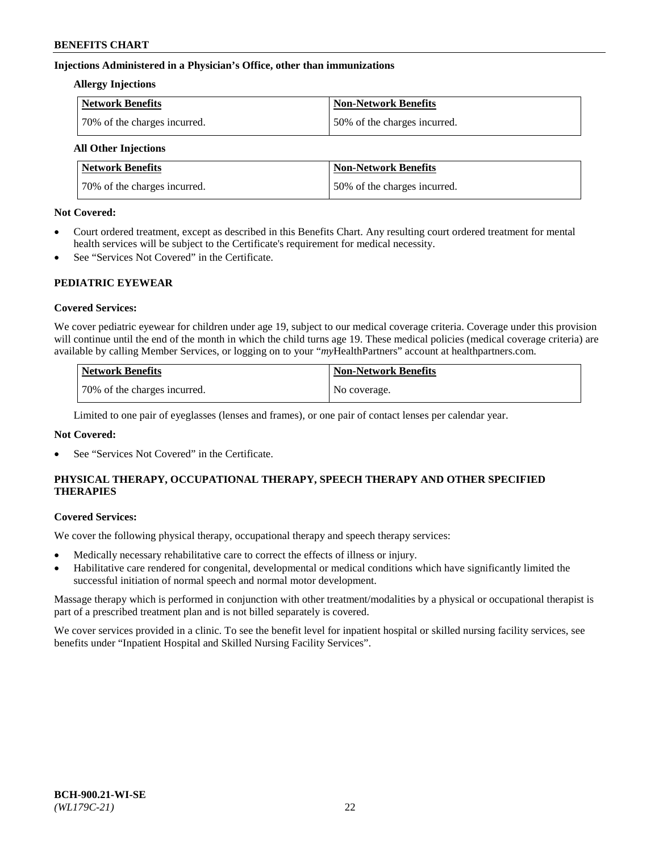## **Injections Administered in a Physician's Office, other than immunizations**

#### **Allergy Injections**

| <b>Network Benefits</b>      | <b>Non-Network Benefits</b>  |
|------------------------------|------------------------------|
| 70% of the charges incurred. | 50% of the charges incurred. |

## **All Other Injections**

| <b>Network Benefits</b>      | <b>Non-Network Benefits</b>  |
|------------------------------|------------------------------|
| 70% of the charges incurred. | 50% of the charges incurred. |

### **Not Covered:**

- Court ordered treatment, except as described in this Benefits Chart. Any resulting court ordered treatment for mental health services will be subject to the Certificate's requirement for medical necessity.
- See "Services Not Covered" in the Certificate.

## **PEDIATRIC EYEWEAR**

## **Covered Services:**

We cover pediatric eyewear for children under age 19, subject to our medical coverage criteria. Coverage under this provision will continue until the end of the month in which the child turns age 19. These medical policies (medical coverage criteria) are available by calling Member Services, or logging on to your "*my*HealthPartners" account a[t healthpartners.com.](https://www.healthpartners.com/hp/index.html)

| Network Benefits             | Non-Network Benefits |
|------------------------------|----------------------|
| 70% of the charges incurred. | No coverage.         |

Limited to one pair of eyeglasses (lenses and frames), or one pair of contact lenses per calendar year.

## **Not Covered:**

See "Services Not Covered" in the Certificate.

## **PHYSICAL THERAPY, OCCUPATIONAL THERAPY, SPEECH THERAPY AND OTHER SPECIFIED THERAPIES**

#### **Covered Services:**

We cover the following physical therapy, occupational therapy and speech therapy services:

- Medically necessary rehabilitative care to correct the effects of illness or injury.
- Habilitative care rendered for congenital, developmental or medical conditions which have significantly limited the successful initiation of normal speech and normal motor development.

Massage therapy which is performed in conjunction with other treatment/modalities by a physical or occupational therapist is part of a prescribed treatment plan and is not billed separately is covered.

We cover services provided in a clinic. To see the benefit level for inpatient hospital or skilled nursing facility services, see benefits under "Inpatient Hospital and Skilled Nursing Facility Services".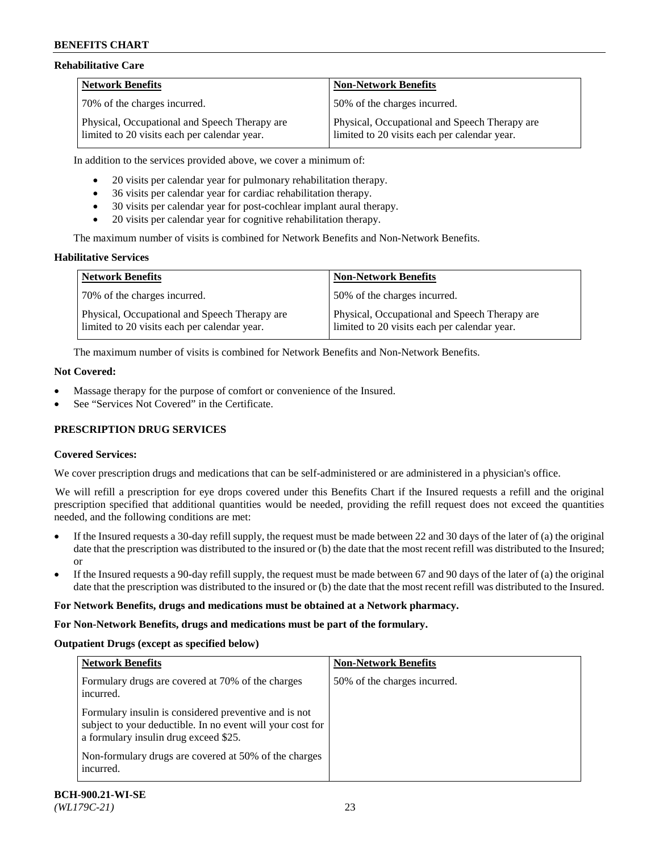## **Rehabilitative Care**

| <b>Network Benefits</b>                                                                       | <b>Non-Network Benefits</b>                                                                   |
|-----------------------------------------------------------------------------------------------|-----------------------------------------------------------------------------------------------|
| 70% of the charges incurred.                                                                  | 150% of the charges incurred.                                                                 |
| Physical, Occupational and Speech Therapy are<br>limited to 20 visits each per calendar year. | Physical, Occupational and Speech Therapy are<br>limited to 20 visits each per calendar year. |

In addition to the services provided above, we cover a minimum of:

- 20 visits per calendar year for pulmonary rehabilitation therapy.
- 36 visits per calendar year for cardiac rehabilitation therapy.
- 30 visits per calendar year for post-cochlear implant aural therapy.
- 20 visits per calendar year for cognitive rehabilitation therapy.

The maximum number of visits is combined for Network Benefits and Non-Network Benefits.

## **Habilitative Services**

| <b>Network Benefits</b>                                                                       | <b>Non-Network Benefits</b>                                                                   |
|-----------------------------------------------------------------------------------------------|-----------------------------------------------------------------------------------------------|
| 70% of the charges incurred.                                                                  | 50% of the charges incurred.                                                                  |
| Physical, Occupational and Speech Therapy are<br>limited to 20 visits each per calendar year. | Physical, Occupational and Speech Therapy are<br>limited to 20 visits each per calendar year. |

The maximum number of visits is combined for Network Benefits and Non-Network Benefits.

## **Not Covered:**

- Massage therapy for the purpose of comfort or convenience of the Insured.
- See "Services Not Covered" in the Certificate.

## **PRESCRIPTION DRUG SERVICES**

## **Covered Services:**

We cover prescription drugs and medications that can be self-administered or are administered in a physician's office.

We will refill a prescription for eye drops covered under this Benefits Chart if the Insured requests a refill and the original prescription specified that additional quantities would be needed, providing the refill request does not exceed the quantities needed, and the following conditions are met:

- If the Insured requests a 30-day refill supply, the request must be made between 22 and 30 days of the later of (a) the original date that the prescription was distributed to the insured or (b) the date that the most recent refill was distributed to the Insured; or
- If the Insured requests a 90-day refill supply, the request must be made between 67 and 90 days of the later of (a) the original date that the prescription was distributed to the insured or (b) the date that the most recent refill was distributed to the Insured.

## **For Network Benefits, drugs and medications must be obtained at a Network pharmacy.**

# **For Non-Network Benefits, drugs and medications must be part of the formulary.**

# **Outpatient Drugs (except as specified below)**

| <b>Network Benefits</b>                                                                                                                                                                                               | <b>Non-Network Benefits</b>  |
|-----------------------------------------------------------------------------------------------------------------------------------------------------------------------------------------------------------------------|------------------------------|
| Formulary drugs are covered at 70% of the charges<br>incurred.                                                                                                                                                        | 50% of the charges incurred. |
| Formulary insulin is considered preventive and is not<br>subject to your deductible. In no event will your cost for<br>a formulary insulin drug exceed \$25.<br>Non-formulary drugs are covered at 50% of the charges |                              |
| incurred.                                                                                                                                                                                                             |                              |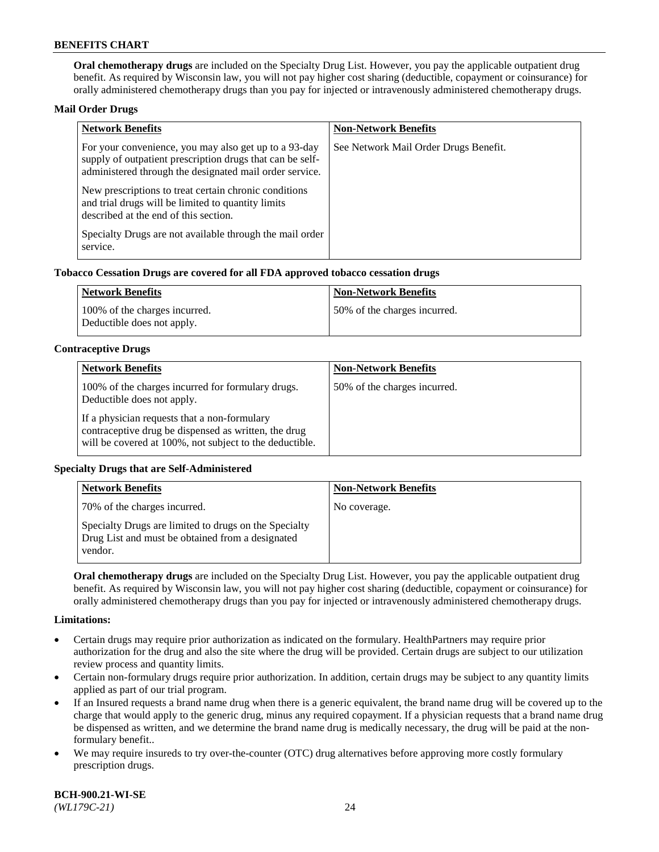**Oral chemotherapy drugs** are included on the Specialty Drug List. However, you pay the applicable outpatient drug benefit. As required by Wisconsin law, you will not pay higher cost sharing (deductible, copayment or coinsurance) for orally administered chemotherapy drugs than you pay for injected or intravenously administered chemotherapy drugs.

### **Mail Order Drugs**

| <b>Network Benefits</b>                                                                                                                                                       | <b>Non-Network Benefits</b>           |
|-------------------------------------------------------------------------------------------------------------------------------------------------------------------------------|---------------------------------------|
| For your convenience, you may also get up to a 93-day<br>supply of outpatient prescription drugs that can be self-<br>administered through the designated mail order service. | See Network Mail Order Drugs Benefit. |
| New prescriptions to treat certain chronic conditions<br>and trial drugs will be limited to quantity limits<br>described at the end of this section.                          |                                       |
| Specialty Drugs are not available through the mail order<br>service.                                                                                                          |                                       |

### **Tobacco Cessation Drugs are covered for all FDA approved tobacco cessation drugs**

| Network Benefits                                            | Non-Network Benefits         |
|-------------------------------------------------------------|------------------------------|
| 100% of the charges incurred.<br>Deductible does not apply. | 50% of the charges incurred. |

### **Contraceptive Drugs**

| <b>Network Benefits</b>                                                                                                                                         | <b>Non-Network Benefits</b>  |
|-----------------------------------------------------------------------------------------------------------------------------------------------------------------|------------------------------|
| 100% of the charges incurred for formulary drugs.<br>Deductible does not apply.                                                                                 | 50% of the charges incurred. |
| If a physician requests that a non-formulary<br>contraceptive drug be dispensed as written, the drug<br>will be covered at 100%, not subject to the deductible. |                              |

## **Specialty Drugs that are Self-Administered**

| <b>Network Benefits</b>                                                                                              | <b>Non-Network Benefits</b> |
|----------------------------------------------------------------------------------------------------------------------|-----------------------------|
| 70% of the charges incurred.                                                                                         | No coverage.                |
| Specialty Drugs are limited to drugs on the Specialty<br>Drug List and must be obtained from a designated<br>vendor. |                             |

**Oral chemotherapy drugs** are included on the Specialty Drug List. However, you pay the applicable outpatient drug benefit. As required by Wisconsin law, you will not pay higher cost sharing (deductible, copayment or coinsurance) for orally administered chemotherapy drugs than you pay for injected or intravenously administered chemotherapy drugs.

#### **Limitations:**

- Certain drugs may require prior authorization as indicated on the formulary. HealthPartners may require prior authorization for the drug and also the site where the drug will be provided. Certain drugs are subject to our utilization review process and quantity limits.
- Certain non-formulary drugs require prior authorization. In addition, certain drugs may be subject to any quantity limits applied as part of our trial program.
- If an Insured requests a brand name drug when there is a generic equivalent, the brand name drug will be covered up to the charge that would apply to the generic drug, minus any required copayment. If a physician requests that a brand name drug be dispensed as written, and we determine the brand name drug is medically necessary, the drug will be paid at the nonformulary benefit..
- We may require insureds to try over-the-counter (OTC) drug alternatives before approving more costly formulary prescription drugs.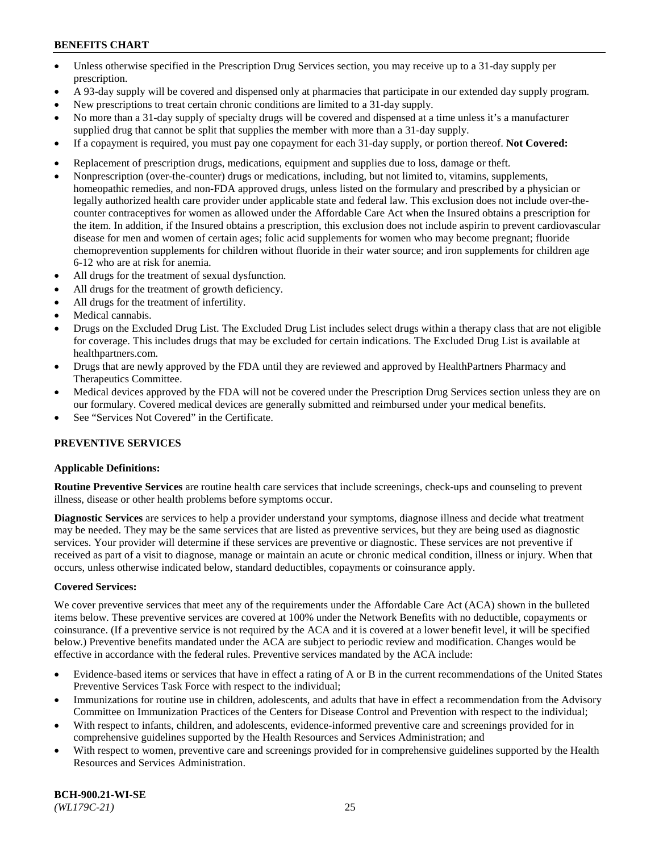- Unless otherwise specified in the Prescription Drug Services section, you may receive up to a 31-day supply per prescription.
- A 93-day supply will be covered and dispensed only at pharmacies that participate in our extended day supply program.
- New prescriptions to treat certain chronic conditions are limited to a 31-day supply.
- No more than a 31-day supply of specialty drugs will be covered and dispensed at a time unless it's a manufacturer supplied drug that cannot be split that supplies the member with more than a 31-day supply.
- If a copayment is required, you must pay one copayment for each 31-day supply, or portion thereof. **Not Covered:**
- Replacement of prescription drugs, medications, equipment and supplies due to loss, damage or theft.
- Nonprescription (over-the-counter) drugs or medications, including, but not limited to, vitamins, supplements, homeopathic remedies, and non-FDA approved drugs, unless listed on the formulary and prescribed by a physician or legally authorized health care provider under applicable state and federal law. This exclusion does not include over-thecounter contraceptives for women as allowed under the Affordable Care Act when the Insured obtains a prescription for the item. In addition, if the Insured obtains a prescription, this exclusion does not include aspirin to prevent cardiovascular disease for men and women of certain ages; folic acid supplements for women who may become pregnant; fluoride chemoprevention supplements for children without fluoride in their water source; and iron supplements for children age 6-12 who are at risk for anemia.
- All drugs for the treatment of sexual dysfunction.
- All drugs for the treatment of growth deficiency.
- All drugs for the treatment of infertility.
- Medical cannabis.
- Drugs on the Excluded Drug List. The Excluded Drug List includes select drugs within a therapy class that are not eligible for coverage. This includes drugs that may be excluded for certain indications. The Excluded Drug List is available at [healthpartners.com.](http://www.healthpartners.com/)
- Drugs that are newly approved by the FDA until they are reviewed and approved by HealthPartners Pharmacy and Therapeutics Committee.
- Medical devices approved by the FDA will not be covered under the Prescription Drug Services section unless they are on our formulary. Covered medical devices are generally submitted and reimbursed under your medical benefits.
- See "Services Not Covered" in the Certificate.

## **PREVENTIVE SERVICES**

#### **Applicable Definitions:**

**Routine Preventive Services** are routine health care services that include screenings, check-ups and counseling to prevent illness, disease or other health problems before symptoms occur.

**Diagnostic Services** are services to help a provider understand your symptoms, diagnose illness and decide what treatment may be needed. They may be the same services that are listed as preventive services, but they are being used as diagnostic services. Your provider will determine if these services are preventive or diagnostic. These services are not preventive if received as part of a visit to diagnose, manage or maintain an acute or chronic medical condition, illness or injury. When that occurs, unless otherwise indicated below, standard deductibles, copayments or coinsurance apply.

#### **Covered Services:**

We cover preventive services that meet any of the requirements under the Affordable Care Act (ACA) shown in the bulleted items below. These preventive services are covered at 100% under the Network Benefits with no deductible, copayments or coinsurance. (If a preventive service is not required by the ACA and it is covered at a lower benefit level, it will be specified below.) Preventive benefits mandated under the ACA are subject to periodic review and modification. Changes would be effective in accordance with the federal rules. Preventive services mandated by the ACA include:

- Evidence-based items or services that have in effect a rating of A or B in the current recommendations of the United States Preventive Services Task Force with respect to the individual;
- Immunizations for routine use in children, adolescents, and adults that have in effect a recommendation from the Advisory Committee on Immunization Practices of the Centers for Disease Control and Prevention with respect to the individual;
- With respect to infants, children, and adolescents, evidence-informed preventive care and screenings provided for in comprehensive guidelines supported by the Health Resources and Services Administration; and
- With respect to women, preventive care and screenings provided for in comprehensive guidelines supported by the Health Resources and Services Administration.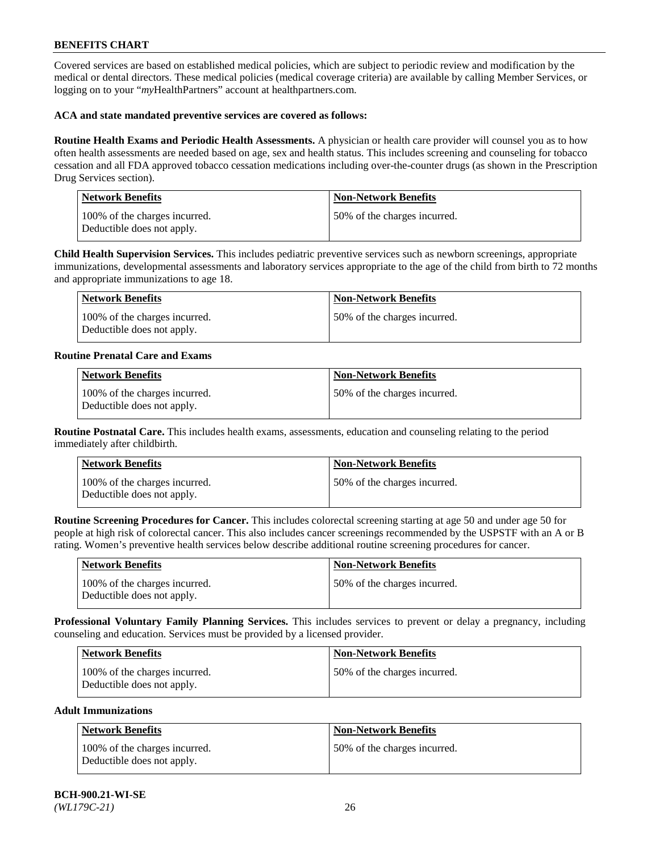Covered services are based on established medical policies, which are subject to periodic review and modification by the medical or dental directors. These medical policies (medical coverage criteria) are available by calling Member Services, or logging on to your "*my*HealthPartners" account at [healthpartners.com.](https://www.healthpartners.com/hp/index.html)

### **ACA and state mandated preventive services are covered as follows:**

**Routine Health Exams and Periodic Health Assessments.** A physician or health care provider will counsel you as to how often health assessments are needed based on age, sex and health status. This includes screening and counseling for tobacco cessation and all FDA approved tobacco cessation medications including over-the-counter drugs (as shown in the Prescription Drug Services section).

| <b>Network Benefits</b>                                     | <b>Non-Network Benefits</b>  |
|-------------------------------------------------------------|------------------------------|
| 100% of the charges incurred.<br>Deductible does not apply. | 50% of the charges incurred. |

**Child Health Supervision Services.** This includes pediatric preventive services such as newborn screenings, appropriate immunizations, developmental assessments and laboratory services appropriate to the age of the child from birth to 72 months and appropriate immunizations to age 18.

| Network Benefits                                            | Non-Network Benefits         |
|-------------------------------------------------------------|------------------------------|
| 100% of the charges incurred.<br>Deductible does not apply. | 50% of the charges incurred. |

### **Routine Prenatal Care and Exams**

| <b>Network Benefits</b>                                     | <b>Non-Network Benefits</b>  |
|-------------------------------------------------------------|------------------------------|
| 100% of the charges incurred.<br>Deductible does not apply. | 50% of the charges incurred. |

**Routine Postnatal Care.** This includes health exams, assessments, education and counseling relating to the period immediately after childbirth.

| <b>Network Benefits</b>                                     | <b>Non-Network Benefits</b>  |
|-------------------------------------------------------------|------------------------------|
| 100% of the charges incurred.<br>Deductible does not apply. | 50% of the charges incurred. |

**Routine Screening Procedures for Cancer.** This includes colorectal screening starting at age 50 and under age 50 for people at high risk of colorectal cancer. This also includes cancer screenings recommended by the USPSTF with an A or B rating. Women's preventive health services below describe additional routine screening procedures for cancer.

| Network Benefits                                            | <b>Non-Network Benefits</b>  |
|-------------------------------------------------------------|------------------------------|
| 100% of the charges incurred.<br>Deductible does not apply. | 50% of the charges incurred. |

**Professional Voluntary Family Planning Services.** This includes services to prevent or delay a pregnancy, including counseling and education. Services must be provided by a licensed provider.

| <b>Network Benefits</b>                                     | <b>Non-Network Benefits</b>   |
|-------------------------------------------------------------|-------------------------------|
| 100% of the charges incurred.<br>Deductible does not apply. | 150% of the charges incurred. |

### **Adult Immunizations**

| Network Benefits                                            | <b>Non-Network Benefits</b>  |
|-------------------------------------------------------------|------------------------------|
| 100% of the charges incurred.<br>Deductible does not apply. | 50% of the charges incurred. |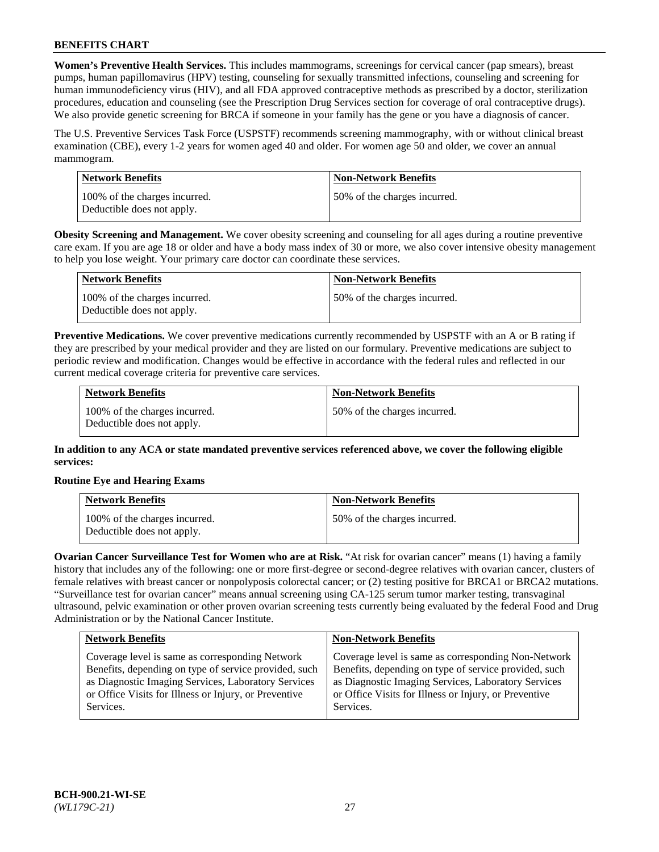**Women's Preventive Health Services.** This includes mammograms, screenings for cervical cancer (pap smears), breast pumps, human papillomavirus (HPV) testing, counseling for sexually transmitted infections, counseling and screening for human immunodeficiency virus (HIV), and all FDA approved contraceptive methods as prescribed by a doctor, sterilization procedures, education and counseling (see the Prescription Drug Services section for coverage of oral contraceptive drugs). We also provide genetic screening for BRCA if someone in your family has the gene or you have a diagnosis of cancer.

The U.S. Preventive Services Task Force (USPSTF) recommends screening mammography, with or without clinical breast examination (CBE), every 1-2 years for women aged 40 and older. For women age 50 and older, we cover an annual mammogram.

| Network Benefits                                            | <b>Non-Network Benefits</b>  |
|-------------------------------------------------------------|------------------------------|
| 100% of the charges incurred.<br>Deductible does not apply. | 50% of the charges incurred. |

**Obesity Screening and Management.** We cover obesity screening and counseling for all ages during a routine preventive care exam. If you are age 18 or older and have a body mass index of 30 or more, we also cover intensive obesity management to help you lose weight. Your primary care doctor can coordinate these services.

| Network Benefits                                            | <b>Non-Network Benefits</b>  |
|-------------------------------------------------------------|------------------------------|
| 100% of the charges incurred.<br>Deductible does not apply. | 50% of the charges incurred. |

**Preventive Medications.** We cover preventive medications currently recommended by USPSTF with an A or B rating if they are prescribed by your medical provider and they are listed on our formulary. Preventive medications are subject to periodic review and modification. Changes would be effective in accordance with the federal rules and reflected in our current medical coverage criteria for preventive care services.

| <b>Network Benefits</b>                                     | <b>Non-Network Benefits</b>  |
|-------------------------------------------------------------|------------------------------|
| 100% of the charges incurred.<br>Deductible does not apply. | 50% of the charges incurred. |

**In addition to any ACA or state mandated preventive services referenced above, we cover the following eligible services:**

## **Routine Eye and Hearing Exams**

| <b>Network Benefits</b>                                     | <b>Non-Network Benefits</b>  |
|-------------------------------------------------------------|------------------------------|
| 100% of the charges incurred.<br>Deductible does not apply. | 50% of the charges incurred. |

**Ovarian Cancer Surveillance Test for Women who are at Risk.** "At risk for ovarian cancer" means (1) having a family history that includes any of the following: one or more first-degree or second-degree relatives with ovarian cancer, clusters of female relatives with breast cancer or nonpolyposis colorectal cancer; or (2) testing positive for BRCA1 or BRCA2 mutations. "Surveillance test for ovarian cancer" means annual screening using CA-125 serum tumor marker testing, transvaginal ultrasound, pelvic examination or other proven ovarian screening tests currently being evaluated by the federal Food and Drug Administration or by the National Cancer Institute.

| <b>Network Benefits</b>                               | <b>Non-Network Benefits</b>                           |
|-------------------------------------------------------|-------------------------------------------------------|
| Coverage level is same as corresponding Network       | Coverage level is same as corresponding Non-Network   |
| Benefits, depending on type of service provided, such | Benefits, depending on type of service provided, such |
| as Diagnostic Imaging Services, Laboratory Services   | as Diagnostic Imaging Services, Laboratory Services   |
| or Office Visits for Illness or Injury, or Preventive | or Office Visits for Illness or Injury, or Preventive |
| Services.                                             | Services.                                             |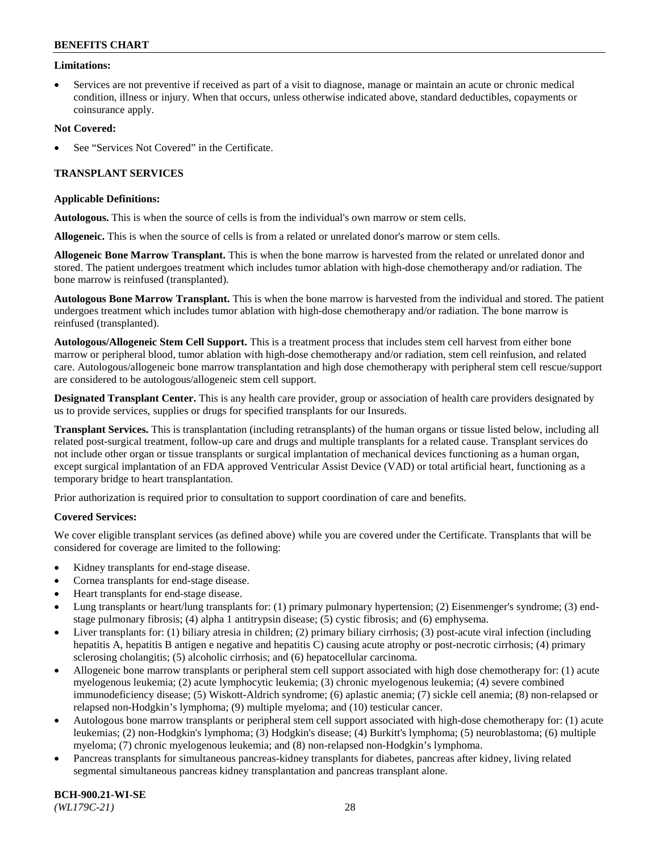### **Limitations:**

• Services are not preventive if received as part of a visit to diagnose, manage or maintain an acute or chronic medical condition, illness or injury. When that occurs, unless otherwise indicated above, standard deductibles, copayments or coinsurance apply.

### **Not Covered:**

See "Services Not Covered" in the Certificate.

## **TRANSPLANT SERVICES**

### **Applicable Definitions:**

**Autologous.** This is when the source of cells is from the individual's own marrow or stem cells.

**Allogeneic.** This is when the source of cells is from a related or unrelated donor's marrow or stem cells.

**Allogeneic Bone Marrow Transplant.** This is when the bone marrow is harvested from the related or unrelated donor and stored. The patient undergoes treatment which includes tumor ablation with high-dose chemotherapy and/or radiation. The bone marrow is reinfused (transplanted).

**Autologous Bone Marrow Transplant.** This is when the bone marrow is harvested from the individual and stored. The patient undergoes treatment which includes tumor ablation with high-dose chemotherapy and/or radiation. The bone marrow is reinfused (transplanted).

**Autologous/Allogeneic Stem Cell Support.** This is a treatment process that includes stem cell harvest from either bone marrow or peripheral blood, tumor ablation with high-dose chemotherapy and/or radiation, stem cell reinfusion, and related care. Autologous/allogeneic bone marrow transplantation and high dose chemotherapy with peripheral stem cell rescue/support are considered to be autologous/allogeneic stem cell support.

**Designated Transplant Center.** This is any health care provider, group or association of health care providers designated by us to provide services, supplies or drugs for specified transplants for our Insureds.

**Transplant Services.** This is transplantation (including retransplants) of the human organs or tissue listed below, including all related post-surgical treatment, follow-up care and drugs and multiple transplants for a related cause. Transplant services do not include other organ or tissue transplants or surgical implantation of mechanical devices functioning as a human organ, except surgical implantation of an FDA approved Ventricular Assist Device (VAD) or total artificial heart, functioning as a temporary bridge to heart transplantation.

Prior authorization is required prior to consultation to support coordination of care and benefits.

## **Covered Services:**

We cover eligible transplant services (as defined above) while you are covered under the Certificate. Transplants that will be considered for coverage are limited to the following:

- Kidney transplants for end-stage disease.
- Cornea transplants for end-stage disease.
- Heart transplants for end-stage disease.
- Lung transplants or heart/lung transplants for: (1) primary pulmonary hypertension; (2) Eisenmenger's syndrome; (3) endstage pulmonary fibrosis; (4) alpha 1 antitrypsin disease; (5) cystic fibrosis; and (6) emphysema.
- Liver transplants for: (1) biliary atresia in children; (2) primary biliary cirrhosis; (3) post-acute viral infection (including hepatitis A, hepatitis B antigen e negative and hepatitis C) causing acute atrophy or post-necrotic cirrhosis; (4) primary sclerosing cholangitis; (5) alcoholic cirrhosis; and (6) hepatocellular carcinoma.
- Allogeneic bone marrow transplants or peripheral stem cell support associated with high dose chemotherapy for: (1) acute myelogenous leukemia; (2) acute lymphocytic leukemia; (3) chronic myelogenous leukemia; (4) severe combined immunodeficiency disease; (5) Wiskott-Aldrich syndrome; (6) aplastic anemia; (7) sickle cell anemia; (8) non-relapsed or relapsed non-Hodgkin's lymphoma; (9) multiple myeloma; and (10) testicular cancer.
- Autologous bone marrow transplants or peripheral stem cell support associated with high-dose chemotherapy for: (1) acute leukemias; (2) non-Hodgkin's lymphoma; (3) Hodgkin's disease; (4) Burkitt's lymphoma; (5) neuroblastoma; (6) multiple myeloma; (7) chronic myelogenous leukemia; and (8) non-relapsed non-Hodgkin's lymphoma.
- Pancreas transplants for simultaneous pancreas-kidney transplants for diabetes, pancreas after kidney, living related segmental simultaneous pancreas kidney transplantation and pancreas transplant alone.